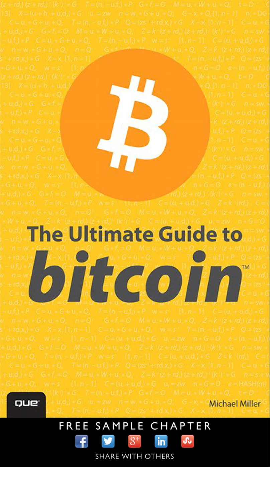**The Ultimate Guide to** bitcoin



**Michael Miller** 

## FREE SAMPLE CHAPTER







in

**SHARE WITH OTHERS**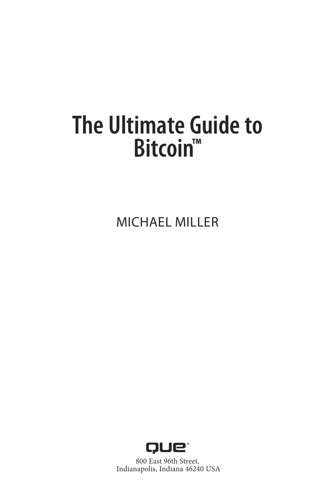# **The Ultimate Guide to Bitcoin™**

MICHAEL MILLER



800 East 96th Street, Indianapolis, Indiana 46240 USA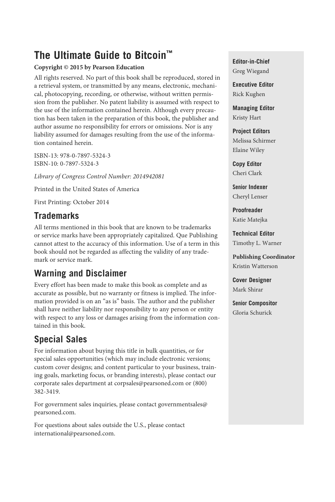## **The Ultimate Guide to Bitcoin™**

#### **Copyright © 2015 by Pearson Education**

All rights reserved. No part of this book shall be reproduced, stored in a retrieval system, or transmitted by any means, electronic, mechanical, photocopying, recording, or otherwise, without written permission from the publisher. No patent liability is assumed with respect to the use of the information contained herein. Although every precaution has been taken in the preparation of this book, the publisher and author assume no responsibility for errors or omissions. Nor is any liability assumed for damages resulting from the use of the information contained herein.

 ISBN-13: 978-0-7897-5324-3 ISBN-10: 0-7897-5324-3

*Library of Congress Control Number: 2014942081* 

Printed in the United States of America

First Printing: October 2014

#### **Trademarks**

 All terms mentioned in this book that are known to be trademarks or service marks have been appropriately capitalized. Que Publishing cannot attest to the accuracy of this information. Use of a term in this book should not be regarded as affecting the validity of any trademark or service mark.

#### **Warning and Disclaimer**

 Every effort has been made to make this book as complete and as accurate as possible, but no warranty or fitness is implied. The information provided is on an "as is" basis. The author and the publisher shall have neither liability nor responsibility to any person or entity with respect to any loss or damages arising from the information contained in this book.

#### **Special Sales**

 For information about buying this title in bulk quantities, or for special sales opportunities (which may include electronic versions; custom cover designs; and content particular to your business, training goals, marketing focus, or branding interests), please contact our corporate sales department at corpsales@pearsoned.com or (800) 382-3419.

 For government sales inquiries, please contact governmentsales@ pearsoned.com.

 For questions about sales outside the U.S., please contact international@pearsoned.com.

**Editor-in-Chief** Greg Wiegand

**Executive Editor** Rick Kughen

**Managing Editor** Kristy Hart

**Project Editors** Melissa Schirmer Elaine Wiley

**Copy Editor** Cheri Clark

 Senior **Indexer** Cheryl Lenser

**Proofreader** Katie Matejka

**Technical Editor** Timothy L. Warner

**Publishing Coordinator** Kristin Watterson

**Cover Designer** Mark Shirar

 Senior **Compositor** Gloria Schurick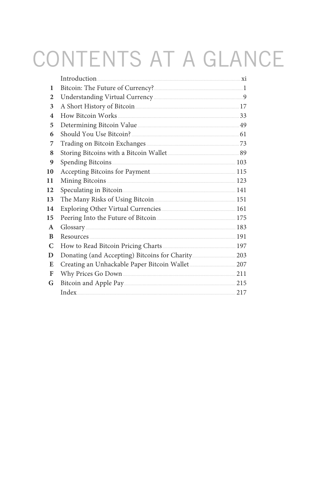# CONTENTS AT A GLANCE

| 1  |                                                        |     |
|----|--------------------------------------------------------|-----|
| 2  |                                                        |     |
| 3  | A Short History of Bitcoin                             |     |
| 4  |                                                        |     |
| 5  | Determining Bitcoin Value                              |     |
| 6  |                                                        |     |
| 7  |                                                        |     |
| 8  |                                                        |     |
| 9  |                                                        |     |
| 10 |                                                        |     |
| 11 | Mining Bitcoins 223                                    |     |
| 12 |                                                        |     |
| 13 | The Many Risks of Using Bitcoin <b>Manufacture 151</b> |     |
| 14 |                                                        |     |
| 15 | Peering Into the Future of Bitcoin 2008 2014 175       |     |
| A  | $Glossary$ 183                                         |     |
| B  |                                                        |     |
| C  |                                                        |     |
| D  |                                                        |     |
| E  |                                                        |     |
| F  |                                                        |     |
| G  | Bitcoin and Apple Pay 215                              |     |
|    |                                                        | 217 |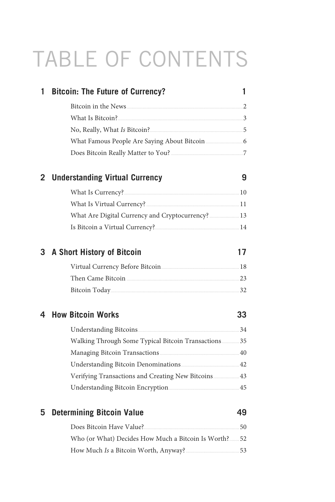# <span id="page-4-1"></span><span id="page-4-0"></span>TABLE OF CONTENTS

| 1 | <b>Bitcoin: The Future of Currency?</b>                                                                                                                                                                                       | 1  |
|---|-------------------------------------------------------------------------------------------------------------------------------------------------------------------------------------------------------------------------------|----|
|   | Bitcoin in the News 2200 million and the News 200 million and 200 million and 200 million and 200 million and 200 million and 200 million and 200 million and 200 million and 200 million and 200 million and 200 million and |    |
|   | What Is Bitcoin? 3                                                                                                                                                                                                            |    |
|   | No, Really, What Is Bitcoin?                                                                                                                                                                                                  |    |
|   |                                                                                                                                                                                                                               |    |
|   |                                                                                                                                                                                                                               |    |
| 2 | <b>Understanding Virtual Currency</b>                                                                                                                                                                                         | 9  |
|   |                                                                                                                                                                                                                               |    |
|   | What Is Virtual Currency? 2000 2000 2000 2000 211                                                                                                                                                                             |    |
|   |                                                                                                                                                                                                                               |    |
|   |                                                                                                                                                                                                                               |    |
|   | 3 A Short History of Bitcoin                                                                                                                                                                                                  | 17 |
|   | Virtual Currency Before Bitcoin 2008 2014                                                                                                                                                                                     |    |
|   |                                                                                                                                                                                                                               |    |
|   |                                                                                                                                                                                                                               |    |
| 4 | <b>How Bitcoin Works</b>                                                                                                                                                                                                      | 33 |
|   |                                                                                                                                                                                                                               |    |
|   | Walking Through Some Typical Bitcoin Transactions 35                                                                                                                                                                          |    |
|   |                                                                                                                                                                                                                               |    |
|   |                                                                                                                                                                                                                               |    |
|   | Verifying Transactions and Creating New Bitcoins  43                                                                                                                                                                          |    |
|   | Understanding Bitcoin Encryption <b>Manufacture 15</b>                                                                                                                                                                        |    |
| 5 | <b>Determining Bitcoin Value</b>                                                                                                                                                                                              | 49 |
|   |                                                                                                                                                                                                                               |    |
|   | Who (or What) Decides How Much a Bitcoin Is Worth? 52                                                                                                                                                                         |    |
|   | How Much Is a Bitcoin Worth, Anyway?                                                                                                                                                                                          |    |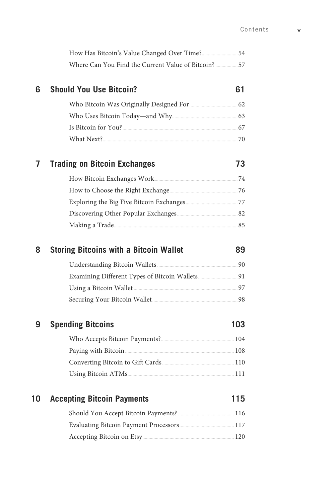|    | Where Can You Find the Current Value of Bitcoin?  57 |     |
|----|------------------------------------------------------|-----|
| 6  | <b>Should You Use Bitcoin?</b>                       | 61  |
|    |                                                      |     |
|    |                                                      |     |
|    |                                                      |     |
|    |                                                      |     |
| 7  | <b>Trading on Bitcoin Exchanges</b>                  | 73  |
|    |                                                      |     |
|    |                                                      |     |
|    |                                                      |     |
|    |                                                      |     |
|    |                                                      |     |
| 8  | <b>Storing Bitcoins with a Bitcoin Wallet</b>        | 89  |
|    |                                                      |     |
|    |                                                      |     |
|    |                                                      |     |
|    | Securing Your Bitcoin Wallet                         |     |
|    |                                                      |     |
| 9  | <b>Spending Bitcoins</b>                             | 103 |
|    |                                                      |     |
|    |                                                      |     |
|    | Paying with Bitcoin <b>Manufacture 108</b>           |     |
|    |                                                      |     |
| 10 | <b>Accepting Bitcoin Payments</b>                    | 115 |
|    |                                                      |     |

[Accepting Bitcoin on Etsy ..........................................................................](#page--1-0) 120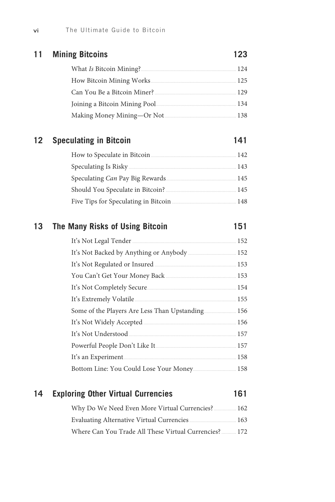| 11 | <b>Mining Bitcoins</b>      | 123  |
|----|-----------------------------|------|
|    | What Is Bitcoin Mining?     | 12.4 |
|    |                             | 125  |
|    | Can You Be a Bitcoin Miner? | 129  |
|    |                             | 134  |
|    |                             | 138  |
|    |                             |      |

#### **12 [Speculating in Bitcoin](#page--1-0) 141**

#### [How to Speculate in Bitcoin .....................................................................](#page--1-0) 142 [Speculating Is Risky .......................................................................................](#page--1-1) 143 Speculating *Can* [Pay Big Rewards.........................................................](#page--1-0) 145 [Should You Speculate in Bitcoin? .........................................................](#page--1-1) 145 [Five Tips for Speculating in Bitcoin ....................................................](#page--1-0) 148

#### **13 [The Many Risks of Using Bitcoin](#page--1-0) 151**

| It's Not Legal Tender         | 152 |
|-------------------------------|-----|
|                               | 152 |
| It's Not Regulated or Insured | 153 |
|                               | 153 |
|                               | 154 |
|                               | 155 |
|                               | 156 |
|                               | 156 |
| It's Not Understood           | 157 |
| Powerful People Don't Like It | 157 |
|                               | 158 |
|                               | 158 |

#### **14 [Exploring Other Virtual Currencies](#page--1-0) 161**

| Why Do We Need Even More Virtual Currencies?  162            |     |
|--------------------------------------------------------------|-----|
| <b>Evaluating Alternative Virtual Currencies</b>             | 163 |
| Where Can You Trade All These Virtual Currencies? 2006. 2017 |     |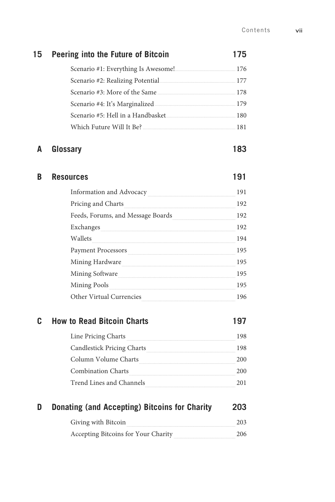192

195

194

195

195

195

196

197

vii

| 15 | Peering into the Future of Bitcoin                                                                                                                                                                                                        | 175 |
|----|-------------------------------------------------------------------------------------------------------------------------------------------------------------------------------------------------------------------------------------------|-----|
|    |                                                                                                                                                                                                                                           |     |
|    |                                                                                                                                                                                                                                           |     |
|    |                                                                                                                                                                                                                                           |     |
|    |                                                                                                                                                                                                                                           |     |
|    |                                                                                                                                                                                                                                           |     |
|    |                                                                                                                                                                                                                                           |     |
| A  | Glossary                                                                                                                                                                                                                                  | 183 |
| В  | <b>Resources</b>                                                                                                                                                                                                                          | 191 |
|    | Information and Advocacy <b>Marshall</b> Marson and Advocacy <b>Marson Communist Communist Communist Communist Communist Communist Communist Communist Communist Communist Communist Communist Communist Communist Communist Communis</b> | 191 |
|    | Pricing and Charts                                                                                                                                                                                                                        | 192 |
|    | Feeds, Forums, and Message Boards                                                                                                                                                                                                         | 192 |

 $\Large{\bf Exchanges} \label{ex:ex}$ 

Payment Processors

Mining Software

Mining Hardware

#### C **How to Read Bitcoin Charts**

Other Virtual Currencies

Wallets

| Line Pricing Charts        | 198 |
|----------------------------|-----|
| Candlestick Pricing Charts | 198 |
| Column Volume Charts       | 200 |
| <b>Combination Charts</b>  | 200 |
| Trend Lines and Channels   | 201 |

#### **Donating (and Accepting) Bitcoins for Charity** D 203

| Giving with Bitcoin                 | 203 |
|-------------------------------------|-----|
| Accepting Bitcoins for Your Charity | 206 |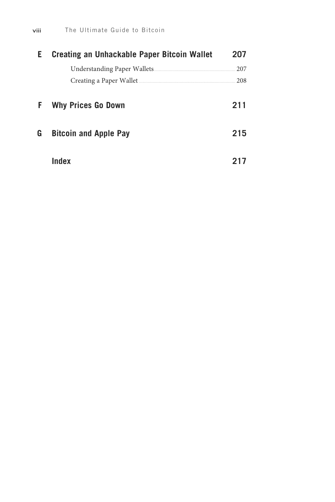<span id="page-8-0"></span>

| Е | Creating an Unhackable Paper Bitcoin Wallet | 207 |
|---|---------------------------------------------|-----|
|   |                                             | 207 |
|   | Creating a Paper Wallet                     | 208 |
| F | <b>Why Prices Go Down</b>                   | 211 |
| G | <b>Bitcoin and Apple Pay</b>                | 215 |
|   | Index                                       |     |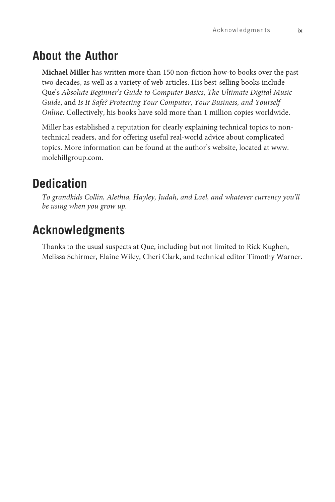## **About the Author**

**Michael Miller** has written more than 150 non-fiction how-to books over the past two decades, as well as a variety of web articles. His best-selling books include Que's *Absolute Beginner's Guide to Computer Basics* , *The Ultimate Digital Music Guide* , and *Is It Safe? Protecting Your Computer*, *Your Business, and Yourself Online* . Collectively, his books have sold more than 1 million copies worldwide.

 Miller has established a reputation for clearly explaining technical topics to nontechnical readers, and for offering useful real-world advice about complicated topics. More information can be found at the author's website, located at [www.](http://www.molehillgroup.com) [molehillgroup.com](http://www.molehillgroup.com) .

## **Dedication**

 *To grandkids Collin, Alethia, Hayley, Judah, and Lael, and whatever currency you'll be using when you grow up.* 

## **Acknowledgments**

 Thanks to the usual suspects at Que, including but not limited to Rick Kughen, Melissa Schirmer, Elaine Wiley, Cheri Clark, and technical editor Timothy Warner.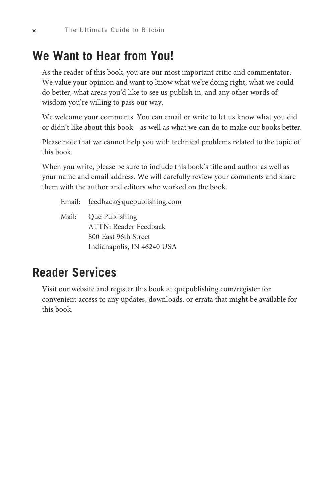## **We Want to Hear from You!**

 As the reader of this book, you are our most important critic and commentator. We value your opinion and want to know what we're doing right, what we could do better, what areas you'd like to see us publish in, and any other words of wisdom you're willing to pass our way.

 We welcome your comments. You can email or write to let us know what you did or didn't like about this book—as well as what we can do to make our books better.

 Please note that we cannot help you with technical problems related to the topic of this book.

 When you write, please be sure to include this book's title and author as well as your name and email address. We will carefully review your comments and share them with the author and editors who worked on the book.

- Email: feedback@quepublishing.com
- Mail: Que Publishing ATTN: Reader Feedback 800 East 96th Street Indianapolis, IN 46240 USA

## **Reader Services**

 Visit our website and register this book at quepublishing.com/register for convenient access to any updates, downloads, or errata that might be available for this book.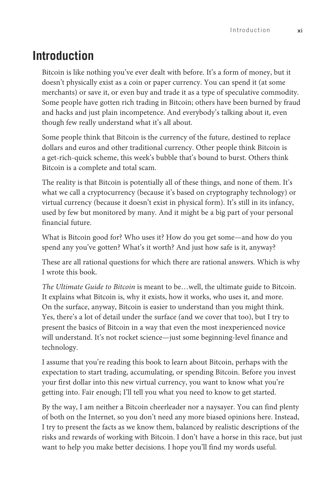## **Introduction**

Bitcoin is like nothing you've ever dealt with before. It's a form of money, but it doesn't physically exist as a coin or paper currency. You can spend it (at some merchants) or save it, or even buy and trade it as a type of speculative commodity. Some people have gotten rich trading in Bitcoin; others have been burned by fraud and hacks and just plain incompetence. And everybody's talking about it, even though few really understand what it's all about.

Some people think that Bitcoin is the currency of the future, destined to replace dollars and euros and other traditional currency. Other people think Bitcoin is a get-rich-quick scheme, this week's bubble that's bound to burst. Others think Bitcoin is a complete and total scam.

The reality is that Bitcoin is potentially all of these things, and none of them. It's what we call a cryptocurrency (because it's based on cryptography technology) or virtual currency (because it doesn't exist in physical form). It's still in its infancy, used by few but monitored by many. And it might be a big part of your personal financial future.

What is Bitcoin good for? Who uses it? How do you get some—and how do you spend any you've gotten? What's it worth? And just how safe is it, anyway?

These are all rational questions for which there are rational answers. Which is why I wrote this book.

*The Ultimate Guide to Bitcoin* is meant to be…well, the ultimate guide to Bitcoin. It explains what Bitcoin is, why it exists, how it works, who uses it, and more. On the surface, anyway, Bitcoin is easier to understand than you might think. Yes, there's a lot of detail under the surface (and we cover that too), but I try to present the basics of Bitcoin in a way that even the most inexperienced novice will understand. It's not rocket science—just some beginning-level finance and technology.

I assume that you're reading this book to learn about Bitcoin, perhaps with the expectation to start trading, accumulating, or spending Bitcoin. Before you invest your first dollar into this new virtual currency, you want to know what you're getting into. Fair enough; I'll tell you what you need to know to get started.

By the way, I am neither a Bitcoin cheerleader nor a naysayer. You can find plenty of both on the Internet, so you don't need any more biased opinions here. Instead, I try to present the facts as we know them, balanced by realistic descriptions of the risks and rewards of working with Bitcoin. I don't have a horse in this race, but just want to help you make better decisions. I hope you'll find my words useful.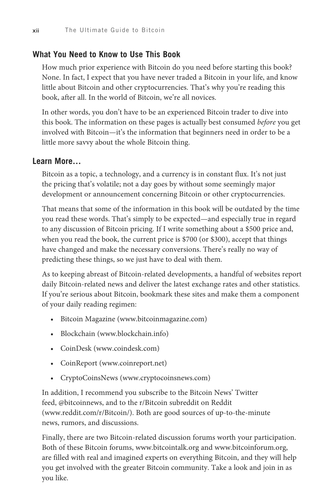#### **What You Need to Know to Use This Book**

How much prior experience with Bitcoin do you need before starting this book? None. In fact, I expect that you have never traded a Bitcoin in your life, and know little about Bitcoin and other cryptocurrencies. That's why you're reading this book, after all. In the world of Bitcoin, we're all novices.

In other words, you don't have to be an experienced Bitcoin trader to dive into this book. The information on these pages is actually best consumed *before* you get involved with Bitcoin—it's the information that beginners need in order to be a little more savvy about the whole Bitcoin thing.

#### **Learn More…**

Bitcoin as a topic, a technology, and a currency is in constant flux. It's not just the pricing that's volatile; not a day goes by without some seemingly major development or announcement concerning Bitcoin or other cryptocurrencies.

That means that some of the information in this book will be outdated by the time you read these words. That's simply to be expected—and especially true in regard to any discussion of Bitcoin pricing. If I write something about a \$500 price and, when you read the book, the current price is \$700 (or \$300), accept that things have changed and make the necessary conversions. There's really no way of predicting these things, so we just have to deal with them.

As to keeping abreast of Bitcoin-related developments, a handful of websites report daily Bitcoin-related news and deliver the latest exchange rates and other statistics. If you're serious about Bitcoin, bookmark these sites and make them a component of your daily reading regimen:

- Bitcoin Magazine [\(www.bitcoinmagazine.com\)](http://www.bitcoinmagazine.com)
- Blockchain [\(www.blockchain.info\)](http://www.blockchain.info)
- CoinDesk [\(www.coindesk.com\)](http://www.coindesk.com)
- CoinReport [\(www.coinreport.net\)](http://www.coinreport.net)
- CryptoCoinsNews [\(www.cryptocoinsnews.com\)](http://www.cryptocoinsnews.com)

In addition, I recommend you subscribe to the Bitcoin News' Twitter feed, @bitcoinnews, and to the r/Bitcoin subreddit on Reddit [\(www.reddit.com/r/Bitcoin/](http://www.reddit.com/r/Bitcoin/)). Both are good sources of up-to-the-minute news, rumors, and discussions.

Finally, there are two Bitcoin-related discussion forums worth your participation. Both of these Bitcoin forums, [www.bitcointalk.org](http://www.bitcointalk.org) and [www.bitcoinforum.org,](http://www.bitcoinforum.org) are filled with real and imagined experts on everything Bitcoin, and they will help you get involved with the greater Bitcoin community. Take a look and join in as you like.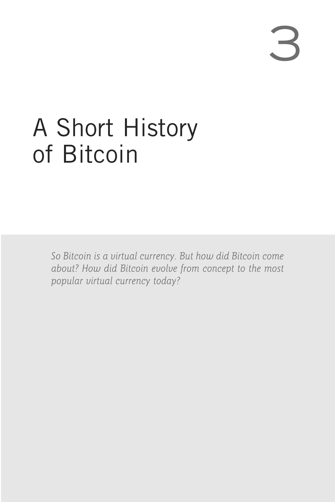[3](#page-4-1) 

# <span id="page-13-0"></span>[A Short History](#page-4-0) of Bitcoin

 *So Bitcoin is a virtual currency. But how did Bitcoin come about? How did Bitcoin evolve from concept to the most popular virtual currency today?*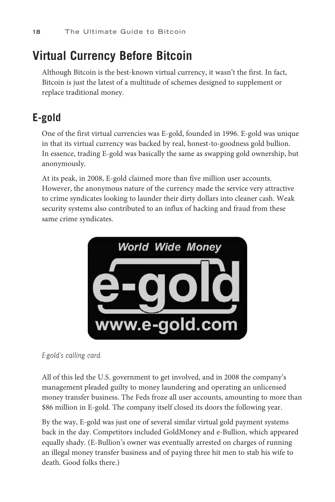## <span id="page-14-1"></span><span id="page-14-0"></span>**[Virtual Currency Before Bitcoin](#page-4-0)**

 Although Bitcoin is the best-known virtual currency, it wasn't the first. In fact, Bitcoin is just the latest of a multitude of schemes designed to supplement or replace traditional money.

## **E-gold**

 One of the first virtual currencies was E-gold, founded in 1996. E-gold was unique in that its virtual currency was backed by real, honest-to-goodness gold bullion. In essence, trading E-gold was basically the same as swapping gold ownership, but anonymously.

 At its peak, in 2008, E-gold claimed more than five million user accounts. However, the anonymous nature of the currency made the service very attractive to crime syndicates looking to launder their dirty dollars into cleaner cash. Weak security systems also contributed to an influx of hacking and fraud from these same crime syndicates.



 *E-gold's calling card.* 

 All of this led the U.S. government to get involved, and in 2008 the company's management pleaded guilty to money laundering and operating an unlicensed money transfer business. The Feds froze all user accounts, amounting to more than \$86 million in E-gold. The company itself closed its doors the following year.

 By the way, E-gold was just one of several similar virtual gold payment systems back in the day. Competitors included GoldMoney and e-Bullion, which appeared equally shady. (E-Bullion's owner was eventually arrested on charges of running an illegal money transfer business and of paying three hit men to stab his wife to death. Good folks there.)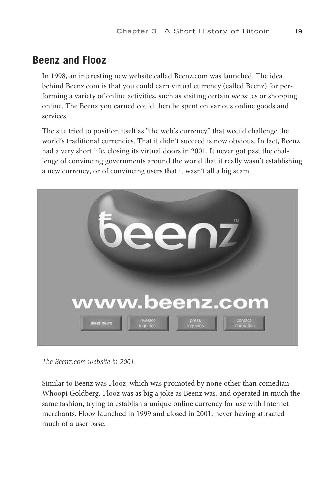### <span id="page-15-0"></span>**Beenz and Flooz**

 In 1998, an interesting new website called Beenz.com was launched. The idea behind Beenz.com is that you could earn virtual currency (called Beenz) for performing a variety of online activities, such as visiting certain websites or shopping online. The Beenz you earned could then be spent on various online goods and services.

 The site tried to position itself as "the web's currency" that would challenge the world's traditional currencies. That it didn't succeed is now obvious. In fact, Beenz had a very short life, closing its virtual doors in 2001. It never got past the challenge of convincing governments around the world that it really wasn't establishing a new currency, or of convincing users that it wasn't all a big scam.



 *The Beenz.com website in 2001.* 

 Similar to Beenz was Flooz, which was promoted by none other than comedian Whoopi Goldberg. Flooz was as big a joke as Beenz was, and operated in much the same fashion, trying to establish a unique online currency for use with Internet merchants. Flooz launched in 1999 and closed in 2001, never having attracted much of a user base.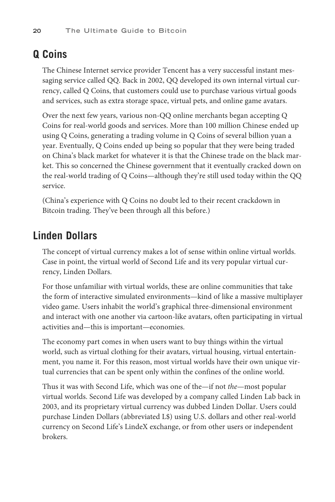## <span id="page-16-0"></span>**Q Coins**

 The Chinese Internet service provider Tencent has a very successful instant messaging service called QQ. Back in 2002, QQ developed its own internal virtual currency, called Q Coins, that customers could use to purchase various virtual goods and services, such as extra storage space, virtual pets, and online game avatars.

 Over the next few years, various non-QQ online merchants began accepting Q Coins for real-world goods and services. More than 100 million Chinese ended up using Q Coins, generating a trading volume in Q Coins of several billion yuan a year. Eventually, Q Coins ended up being so popular that they were being traded on China's black market for whatever it is that the Chinese trade on the black market. This so concerned the Chinese government that it eventually cracked down on the real-world trading of Q Coins—although they're still used today within the QQ service.

 (China's experience with Q Coins no doubt led to their recent crackdown in Bitcoin trading. They've been through all this before.)

#### **Linden Dollars**

 The concept of virtual currency makes a lot of sense within online virtual worlds. Case in point, the virtual world of Second Life and its very popular virtual currency, Linden Dollars.

 For those unfamiliar with virtual worlds, these are online communities that take the form of interactive simulated environments—kind of like a massive multiplayer video game. Users inhabit the world's graphical three-dimensional environment and interact with one another via cartoon-like avatars, often participating in virtual activities and—this is important—economies.

 The economy part comes in when users want to buy things within the virtual world, such as virtual clothing for their avatars, virtual housing, virtual entertainment, you name it. For this reason, most virtual worlds have their own unique virtual currencies that can be spent only within the confines of the online world.

 Thus it was with Second Life, which was one of the—if not *the* —most popular virtual worlds. Second Life was developed by a company called Linden Lab back in 2003, and its proprietary virtual currency was dubbed Linden Dollar. Users could purchase Linden Dollars (abbreviated L\$) using U.S. dollars and other real-world currency on Second Life's LindeX exchange, or from other users or independent brokers.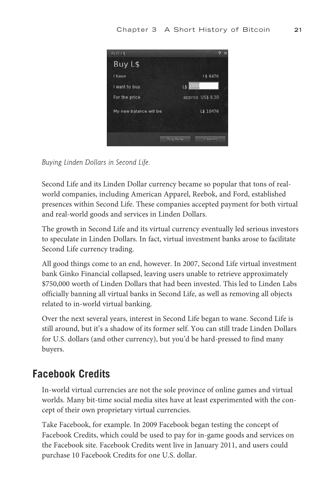<span id="page-17-0"></span>

 *Buying Linden Dollars in Second Life.* 

 Second Life and its Linden Dollar currency became so popular that tons of realworld companies, including American Apparel, Reebok, and Ford, established presences within Second Life. These companies accepted payment for both virtual and real-world goods and services in Linden Dollars.

 The growth in Second Life and its virtual currency eventually led serious investors to speculate in Linden Dollars. In fact, virtual investment banks arose to facilitate Second Life currency trading.

 All good things come to an end, however. In 2007, Second Life virtual investment bank Ginko Financial collapsed, leaving users unable to retrieve approximately \$750,000 worth of Linden Dollars that had been invested. This led to Linden Labs officially banning all virtual banks in Second Life, as well as removing all objects related to in-world virtual banking.

 Over the next several years, interest in Second Life began to wane. Second Life is still around, but it's a shadow of its former self. You can still trade Linden Dollars for U.S. dollars (and other currency), but you'd be hard-pressed to find many buyers.

### **Facebook Credits**

 In-world virtual currencies are not the sole province of online games and virtual worlds. Many bit-time social media sites have at least experimented with the concept of their own proprietary virtual currencies.

 Take Facebook, for example. In 2009 Facebook began testing the concept of Facebook Credits, which could be used to pay for in-game goods and services on the Facebook site. Facebook Credits went live in January 2011, and users could purchase 10 Facebook Credits for one U.S. dollar.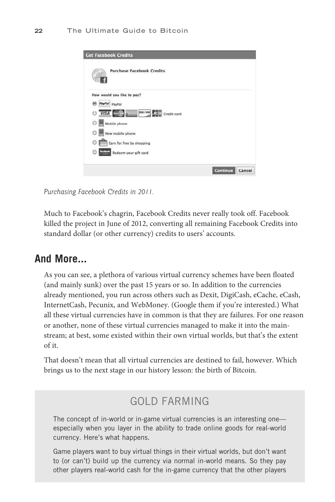<span id="page-18-0"></span>

 *Purchasing Facebook Credits in 2011.* 

 Much to Facebook's chagrin, Facebook Credits never really took off. Facebook killed the project in June of 2012, converting all remaining Facebook Credits into standard dollar (or other currency) credits to users' accounts.

#### **And More...**

 As you can see, a plethora of various virtual currency schemes have been floated (and mainly sunk) over the past 15 years or so. In addition to the currencies already mentioned, you run across others such as Dexit, DigiCash, eCache, eCash, InternetCash, Pecunix, and WebMoney. (Google them if you're interested.) What all these virtual currencies have in common is that they are failures. For one reason or another, none of these virtual currencies managed to make it into the mainstream; at best, some existed within their own virtual worlds, but that's the extent of it.

 That doesn't mean that all virtual currencies are destined to fail, however. Which brings us to the next stage in our history lesson: the birth of Bitcoin.

## GOLD FARMING

The concept of in-world or in-game virtual currencies is an interesting one especially when you layer in the ability to trade online goods for real-world currency. Here's what happens.

Game players want to buy virtual things in their virtual worlds, but don't want to (or can't) build up the currency via normal in-world means. So they pay other players real-world cash for the in-game currency that the other players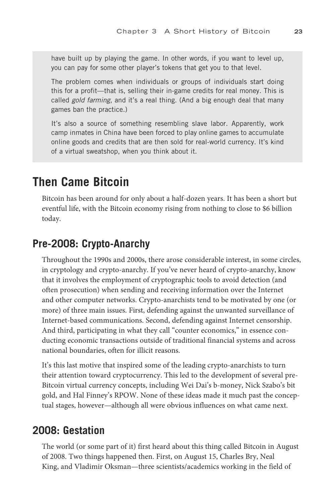<span id="page-19-1"></span><span id="page-19-0"></span>have built up by playing the game. In other words, if you want to level up, you can pay for some other player's tokens that get you to that level.

The problem comes when individuals or groups of individuals start doing this for a profit—that is, selling their in-game credits for real money. This is called gold farming, and it's a real thing. (And a big enough deal that many games ban the practice.)

It's also a source of something resembling slave labor. Apparently, work camp inmates in China have been forced to play online games to accumulate online goods and credits that are then sold for real-world currency. It's kind of a virtual sweatshop, when you think about it.

## **[Then Came Bitcoin](#page-4-0)**

 Bitcoin has been around for only about a half-dozen years. It has been a short but eventful life, with the Bitcoin economy rising from nothing to close to \$6 billion today.

### **Pre-2008: Crypto-Anarchy**

 Throughout the 1990s and 2000s, there arose considerable interest, in some circles, in cryptology and crypto-anarchy. If you've never heard of crypto-anarchy, know that it involves the employment of cryptographic tools to avoid detection (and often prosecution) when sending and receiving information over the Internet and other computer networks. Crypto-anarchists tend to be motivated by one (or more) of three main issues. First, defending against the unwanted surveillance of Internet-based communications. Second, defending against Internet censorship. And third, participating in what they call "counter economics," in essence conducting economic transactions outside of traditional financial systems and across national boundaries, often for illicit reasons.

 It's this last motive that inspired some of the leading crypto-anarchists to turn their attention toward cryptocurrency. This led to the development of several pre-Bitcoin virtual currency concepts, including Wei Dai's b-money, Nick Szabo's bit gold, and Hal Finney's RPOW. None of these ideas made it much past the conceptual stages, however—although all were obvious influences on what came next.

#### **2008: Gestation**

 The world (or some part of it) first heard about this thing called Bitcoin in August of 2008. Two things happened then. First, on August 15, Charles Bry, Neal King, and Vladimir Oksman—three scientists/academics working in the field of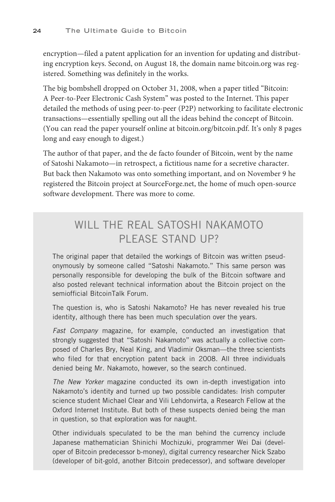<span id="page-20-0"></span>encryption—filed a patent application for an invention for updating and distributing encryption keys. Second, on August 18, the domain name bitcoin.org was registered. Something was definitely in the works.

 The big bombshell dropped on October 31, 2008, when a paper titled "Bitcoin: A Peer-to-Peer Electronic Cash System" was posted to the Internet. This paper detailed the methods of using peer-to-peer (P2P) networking to facilitate electronic transactions—essentially spelling out all the ideas behind the concept of Bitcoin. (You can read the paper yourself online at bitcoin.org/bitcoin.pdf. It's only 8 pages long and easy enough to digest.)

 The author of that paper, and the de facto founder of Bitcoin, went by the name of Satoshi Nakamoto—in retrospect, a fictitious name for a secretive character. But back then Nakamoto was onto something important, and on November 9 he registered the Bitcoin project at SourceForge.net, the home of much open-source software development. There was more to come.

## WILL THE REAL SATOSHI NAKAMOTO PI FASE STAND UP?

The original paper that detailed the workings of Bitcoin was written pseudonymously by someone called "Satoshi Nakamoto." This same person was personally responsible for developing the bulk of the Bitcoin software and also posted relevant technical information about the Bitcoin project on the semiofficial BitcoinTalk Forum.

The question is, who is Satoshi Nakamoto? He has never revealed his true identity, although there has been much speculation over the years.

Fast Company magazine, for example, conducted an investigation that strongly suggested that "Satoshi Nakamoto" was actually a collective composed of Charles Bry, Neal King, and Vladimir Oksman—the three scientists who filed for that encryption patent back in 2008. All three individuals denied being Mr. Nakamoto, however, so the search continued.

The New Yorker magazine conducted its own in-depth investigation into Nakamoto's identity and turned up two possible candidates: Irish computer science student Michael Clear and Vili Lehdonvirta, a Research Fellow at the Oxford Internet Institute. But both of these suspects denied being the man in question, so that exploration was for naught.

Other individuals speculated to be the man behind the currency include Japanese mathematician Shinichi Mochizuki, programmer Wei Dai (developer of Bitcoin predecessor b-money), digital currency researcher Nick Szabo (developer of bit-gold, another Bitcoin predecessor), and software developer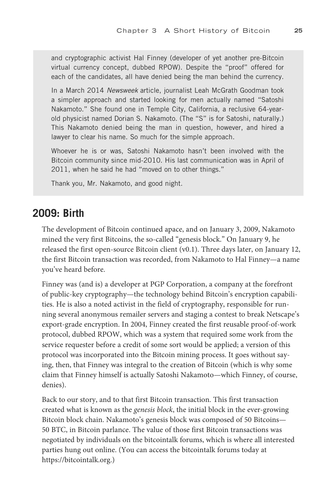<span id="page-21-0"></span>and cryptographic activist Hal Finney (developer of yet another pre-Bitcoin virtual currency concept, dubbed RPOW). Despite the "proof" offered for each of the candidates, all have denied being the man behind the currency.

In a March 2014 Newsweek article, journalist Leah McGrath Goodman took a simpler approach and started looking for men actually named "Satoshi Nakamoto." She found one in Temple City, California, a reclusive 64-yearold physicist named Dorian S. Nakamoto. (The "S" is for Satoshi, naturally.) This Nakamoto denied being the man in question, however, and hired a lawyer to clear his name. So much for the simple approach.

Whoever he is or was, Satoshi Nakamoto hasn't been involved with the Bitcoin community since mid-2010. His last communication was in April of 2011, when he said he had "moved on to other things."

Thank you, Mr. Nakamoto, and good night.

#### **2009: Birth**

 The development of Bitcoin continued apace, and on January 3, 2009, Nakamoto mined the very first Bitcoins, the so-called "genesis block." On January 9, he released the first open-source Bitcoin client (v0.1). Three days later, on January 12, the first Bitcoin transaction was recorded, from Nakamoto to Hal Finney—a name you've heard before.

 Finney was (and is) a developer at PGP Corporation, a company at the forefront of public-key cryptography—the technology behind Bitcoin's encryption capabilities. He is also a noted activist in the field of cryptography, responsible for running several anonymous remailer servers and staging a contest to break Netscape's export-grade encryption. In 2004, Finney created the first reusable proof-of-work protocol, dubbed RPOW, which was a system that required some work from the service requester before a credit of some sort would be applied; a version of this protocol was incorporated into the Bitcoin mining process. It goes without saying, then, that Finney was integral to the creation of Bitcoin (which is why some claim that Finney himself is actually Satoshi Nakamoto—which Finney, of course, denies).

 Back to our story, and to that first Bitcoin transaction. This first transaction created what is known as the *genesis block* , the initial block in the ever-growing Bitcoin block chain. Nakamoto's genesis block was composed of 50 Bitcoins— 50 BTC, in Bitcoin parlance. The value of those first Bitcoin transactions was negotiated by individuals on the bitcointalk forums, which is where all interested parties hung out online. (You can access the bitcointalk forums today at [https://bitcointalk.org.\)](https://bitcointalk.org)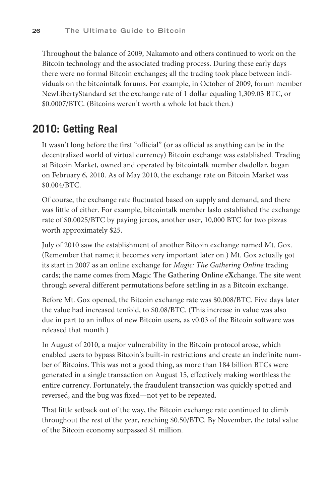<span id="page-22-0"></span> Throughout the balance of 2009, Nakamoto and others continued to work on the Bitcoin technology and the associated trading process. During these early days there were no formal Bitcoin exchanges; all the trading took place between individuals on the bitcointalk forums. For example, in October of 2009, forum member NewLibertyStandard set the exchange rate of 1 dollar equaling 1,309.03 BTC, or \$0.0007/BTC. (Bitcoins weren't worth a whole lot back then.)

#### **2010: Getting Real**

 It wasn't long before the first "official" (or as official as anything can be in the decentralized world of virtual currency) Bitcoin exchange was established. Trading at Bitcoin Market, owned and operated by bitcointalk member dwdollar, began on February 6, 2010. As of May 2010, the exchange rate on Bitcoin Market was \$0.004/BTC.

 Of course, the exchange rate fluctuated based on supply and demand, and there was little of either. For example, bitcointalk member laslo established the exchange rate of \$0.0025/BTC by paying jercos, another user, 10,000 BTC for two pizzas worth approximately \$25.

 July of 2010 saw the establishment of another Bitcoin exchange named Mt. Gox. (Remember that name; it becomes very important later on.) Mt. Gox actually got its start in 2007 as an online exchange for *Magic: The Gathering Online* trading cards; the name comes from **M** agic **T** he **G** athering **O** nline e **X** change. The site went through several different permutations before settling in as a Bitcoin exchange.

 Before Mt. Gox opened, the Bitcoin exchange rate was \$0.008/BTC. Five days later the value had increased tenfold, to \$0.08/BTC. (This increase in value was also due in part to an influx of new Bitcoin users, as v0.03 of the Bitcoin software was released that month.)

 In August of 2010, a major vulnerability in the Bitcoin protocol arose, which enabled users to bypass Bitcoin's built-in restrictions and create an indefinite number of Bitcoins. This was not a good thing, as more than 184 billion BTCs were generated in a single transaction on August 15, effectively making worthless the entire currency. Fortunately, the fraudulent transaction was quickly spotted and reversed, and the bug was fixed—not yet to be repeated.

 That little setback out of the way, the Bitcoin exchange rate continued to climb throughout the rest of the year, reaching \$0.50/BTC. By November, the total value of the Bitcoin economy surpassed \$1 million.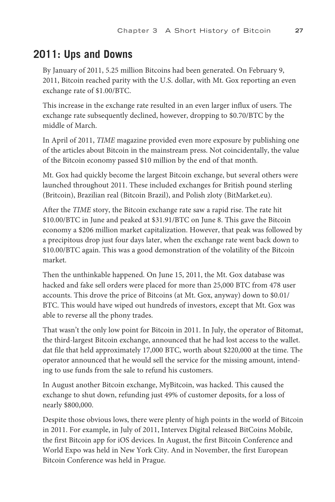## <span id="page-23-0"></span>**2011: Ups and Downs**

 By January of 2011, 5.25 million Bitcoins had been generated. On February 9, 2011, Bitcoin reached parity with the U.S. dollar, with Mt. Gox reporting an even exchange rate of \$1.00/BTC.

 This increase in the exchange rate resulted in an even larger influx of users. The exchange rate subsequently declined, however, dropping to \$0.70/BTC by the middle of March.

 In April of 2011, *TIME* magazine provided even more exposure by publishing one of the articles about Bitcoin in the mainstream press. Not coincidentally, the value of the Bitcoin economy passed \$10 million by the end of that month.

 Mt. Gox had quickly become the largest Bitcoin exchange, but several others were launched throughout 2011. These included exchanges for British pound sterling (Britcoin), Brazilian real (Bitcoin Brazil), and Polish zloty (BitMarket.eu).

 After the *TIME* story, the Bitcoin exchange rate saw a rapid rise. The rate hit \$10.00/BTC in June and peaked at \$31.91/BTC on June 8. This gave the Bitcoin economy a \$206 million market capitalization. However, that peak was followed by a precipitous drop just four days later, when the exchange rate went back down to \$10.00/BTC again. This was a good demonstration of the volatility of the Bitcoin market.

 Then the unthinkable happened. On June 15, 2011, the Mt. Gox database was hacked and fake sell orders were placed for more than 25,000 BTC from 478 user accounts. This drove the price of Bitcoins (at Mt. Gox, anyway) down to \$0.01/ BTC. This would have wiped out hundreds of investors, except that Mt. Gox was able to reverse all the phony trades.

 That wasn't the only low point for Bitcoin in 2011. In July, the operator of Bitomat, the third-largest Bitcoin exchange, announced that he had lost access to the wallet. dat file that held approximately 17,000 BTC, worth about \$220,000 at the time. The operator announced that he would sell the service for the missing amount, intending to use funds from the sale to refund his customers.

 In August another Bitcoin exchange, MyBitcoin, was hacked. This caused the exchange to shut down, refunding just 49% of customer deposits, for a loss of nearly \$800,000.

 Despite those obvious lows, there were plenty of high points in the world of Bitcoin in 2011. For example, in July of 2011, Intervex Digital released BitCoins Mobile, the first Bitcoin app for iOS devices. In August, the first Bitcoin Conference and World Expo was held in New York City. And in November, the first European Bitcoin Conference was held in Prague.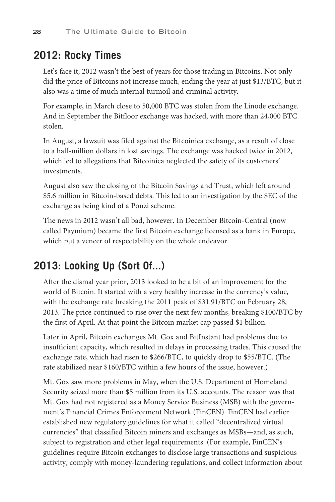## <span id="page-24-0"></span>**2012: Rocky Times**

 Let's face it, 2012 wasn't the best of years for those trading in Bitcoins. Not only did the price of Bitcoins not increase much, ending the year at just \$13/BTC, but it also was a time of much internal turmoil and criminal activity.

 For example, in March close to 50,000 BTC was stolen from the Linode exchange. And in September the Bitfloor exchange was hacked, with more than 24,000 BTC stolen.

 In August, a lawsuit was filed against the Bitcoinica exchange, as a result of close to a half-million dollars in lost savings. The exchange was hacked twice in 2012, which led to allegations that Bitcoinica neglected the safety of its customers' investments.

 August also saw the closing of the Bitcoin Savings and Trust, which left around \$5.6 million in Bitcoin-based debts. This led to an investigation by the SEC of the exchange as being kind of a Ponzi scheme.

 The news in 2012 wasn't all bad, however. In December Bitcoin-Central (now called Paymium) became the first Bitcoin exchange licensed as a bank in Europe, which put a veneer of respectability on the whole endeavor.

## **2013: Looking Up (Sort Of...)**

 After the dismal year prior, 2013 looked to be a bit of an improvement for the world of Bitcoin. It started with a very healthy increase in the currency's value, with the exchange rate breaking the 2011 peak of \$31.91/BTC on February 28, 2013. The price continued to rise over the next few months, breaking \$100/BTC by the first of April. At that point the Bitcoin market cap passed \$1 billion.

 Later in April, Bitcoin exchanges Mt. Gox and BitInstant had problems due to insufficient capacity, which resulted in delays in processing trades. This caused the exchange rate, which had risen to \$266/BTC, to quickly drop to \$55/BTC. (The rate stabilized near \$160/BTC within a few hours of the issue, however.)

 Mt. Gox saw more problems in May, when the U.S. Department of Homeland Security seized more than \$5 million from its U.S. accounts. The reason was that Mt. Gox had not registered as a Money Service Business (MSB) with the government's Financial Crimes Enforcement Network (FinCEN). FinCEN had earlier established new regulatory guidelines for what it called "decentralized virtual currencies" that classified Bitcoin miners and exchanges as MSBs—and, as such, subject to registration and other legal requirements. (For example, FinCEN's guidelines require Bitcoin exchanges to disclose large transactions and suspicious activity, comply with money-laundering regulations, and collect information about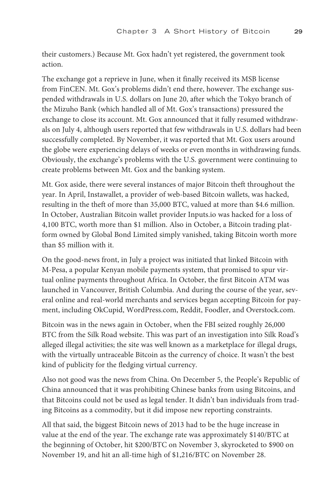<span id="page-25-0"></span>their customers.) Because Mt. Gox hadn't yet registered, the government took action.

 The exchange got a reprieve in June, when it finally received its MSB license from FinCEN. Mt. Gox's problems didn't end there, however. The exchange suspended withdrawals in U.S. dollars on June 20, after which the Tokyo branch of the Mizuho Bank (which handled all of Mt. Gox's transactions) pressured the exchange to close its account. Mt. Gox announced that it fully resumed withdrawals on July 4, although users reported that few withdrawals in U.S. dollars had been successfully completed. By November, it was reported that Mt. Gox users around the globe were experiencing delays of weeks or even months in withdrawing funds. Obviously, the exchange's problems with the U.S. government were continuing to create problems between Mt. Gox and the banking system.

 Mt. Gox aside, there were several instances of major Bitcoin theft throughout the year. In April, Instawallet, a provider of web-based Bitcoin wallets, was hacked, resulting in the theft of more than 35,000 BTC, valued at more than \$4.6 million. In October, Australian Bitcoin wallet provider Inputs.io was hacked for a loss of 4,100 BTC, worth more than \$1 million. Also in October, a Bitcoin trading platform owned by Global Bond Limited simply vanished, taking Bitcoin worth more than \$5 million with it.

 On the good-news front, in July a project was initiated that linked Bitcoin with M-Pesa, a popular Kenyan mobile payments system, that promised to spur virtual online payments throughout Africa. In October, the first Bitcoin ATM was launched in Vancouver, British Columbia. And during the course of the year, several online and real-world merchants and services began accepting Bitcoin for payment, including OkCupid, WordPress.com, Reddit, Foodler, and Overstock.com.

 Bitcoin was in the news again in October, when the FBI seized roughly 26,000 BTC from the Silk Road website. This was part of an investigation into Silk Road's alleged illegal activities; the site was well known as a marketplace for illegal drugs, with the virtually untraceable Bitcoin as the currency of choice. It wasn't the best kind of publicity for the fledging virtual currency.

 Also not good was the news from China. On December 5, the People's Republic of China announced that it was prohibiting Chinese banks from using Bitcoins, and that Bitcoins could not be used as legal tender. It didn't ban individuals from trading Bitcoins as a commodity, but it did impose new reporting constraints.

 All that said, the biggest Bitcoin news of 2013 had to be the huge increase in value at the end of the year. The exchange rate was approximately \$140/BTC at the beginning of October, hit \$200/BTC on November 3, skyrocketed to \$900 on November 19, and hit an all-time high of \$1,216/BTC on November 28.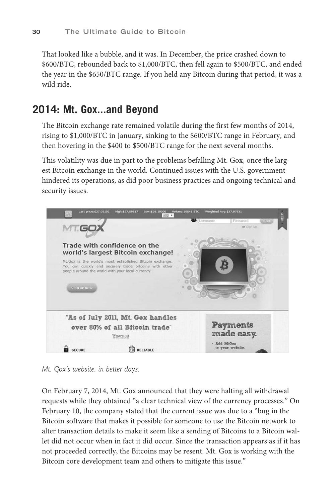<span id="page-26-0"></span> That looked like a bubble, and it was. In December, the price crashed down to \$600/BTC, rebounded back to \$1,000/BTC, then fell again to \$500/BTC, and ended the year in the \$650/BTC range. If you held any Bitcoin during that period, it was a wild ride.

### **2014: Mt. Gox...and Beyond**

 The Bitcoin exchange rate remained volatile during the first few months of 2014, rising to \$1,000/BTC in January, sinking to the \$600/BTC range in February, and then hovering in the \$400 to \$500/BTC range for the next several months.

 This volatility was due in part to the problems befalling Mt. Gox, once the largest Bitcoin exchange in the world. Continued issues with the U.S. government hindered its operations, as did poor business practices and ongoing technical and security issues.



 *Mt. Gox's website, in better days.* 

 On February 7, 2014, Mt. Gox announced that they were halting all withdrawal requests while they obtained "a clear technical view of the currency processes." On February 10, the company stated that the current issue was due to a "bug in the Bitcoin software that makes it possible for someone to use the Bitcoin network to alter transaction details to make it seem like a sending of Bitcoins to a Bitcoin wallet did not occur when in fact it did occur. Since the transaction appears as if it has not proceeded correctly, the Bitcoins may be resent. Mt. Gox is working with the Bitcoin core development team and others to mitigate this issue."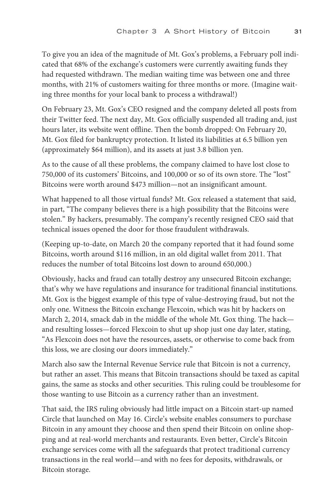<span id="page-27-0"></span> To give you an idea of the magnitude of Mt. Gox's problems, a February poll indicated that 68% of the exchange's customers were currently awaiting funds they had requested withdrawn. The median waiting time was between one and three months, with 21% of customers waiting for three months or more. (Imagine waiting three months for your local bank to process a withdrawal!)

 On February 23, Mt. Gox's CEO resigned and the company deleted all posts from their Twitter feed. The next day, Mt. Gox officially suspended all trading and, just hours later, its website went offline. Then the bomb dropped: On February 20, Mt. Gox filed for bankruptcy protection. It listed its liabilities at 6.5 billion yen (approximately \$64 million), and its assets at just 3.8 billion yen.

 As to the cause of all these problems, the company claimed to have lost close to 750,000 of its customers' Bitcoins, and 100,000 or so of its own store. The "lost" Bitcoins were worth around \$473 million—not an insignificant amount.

 What happened to all those virtual funds? Mt. Gox released a statement that said, in part, "The company believes there is a high possibility that the Bitcoins were stolen." By hackers, presumably. The company's recently resigned CEO said that technical issues opened the door for those fraudulent withdrawals.

 (Keeping up-to-date, on March 20 the company reported that it had found some Bitcoins, worth around \$116 million, in an old digital wallet from 2011. That reduces the number of total Bitcoins lost down to around 650,000.)

 Obviously, hacks and fraud can totally destroy any unsecured Bitcoin exchange; that's why we have regulations and insurance for traditional financial institutions. Mt. Gox is the biggest example of this type of value-destroying fraud, but not the only one. Witness the Bitcoin exchange Flexcoin, which was hit by hackers on March 2, 2014, smack dab in the middle of the whole Mt. Gox thing. The hack and resulting losses—forced Flexcoin to shut up shop just one day later, stating, "As Flexcoin does not have the resources, assets, or otherwise to come back from this loss, we are closing our doors immediately."

 March also saw the Internal Revenue Service rule that Bitcoin is not a currency, but rather an asset. This means that Bitcoin transactions should be taxed as capital gains, the same as stocks and other securities. This ruling could be troublesome for those wanting to use Bitcoin as a currency rather than an investment.

 That said, the IRS ruling obviously had little impact on a Bitcoin start-up named Circle that launched on May 16. Circle's website enables consumers to purchase Bitcoin in any amount they choose and then spend their Bitcoin on online shopping and at real-world merchants and restaurants. Even better, Circle's Bitcoin exchange services come with all the safeguards that protect traditional currency transactions in the real world—and with no fees for deposits, withdrawals, or Bitcoin storage.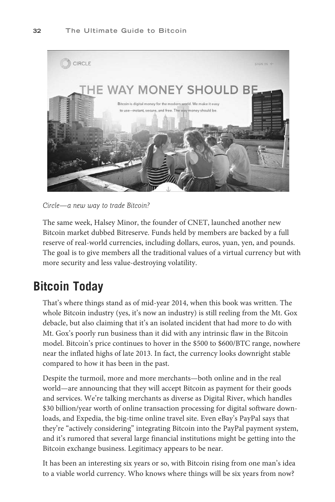<span id="page-28-1"></span>

 *Circle—a new way to trade Bitcoin?* 

<span id="page-28-0"></span> The same week, Halsey Minor, the founder of CNET, launched another new Bitcoin market dubbed Bitreserve. Funds held by members are backed by a full reserve of real-world currencies, including dollars, euros, yuan, yen, and pounds. The goal is to give members all the traditional values of a virtual currency but with more security and less value-destroying volatility.

## **[Bitcoin Today](#page-4-0)**

 That's where things stand as of mid-year 2014, when this book was written. The whole Bitcoin industry (yes, it's now an industry) is still reeling from the Mt. Gox debacle, but also claiming that it's an isolated incident that had more to do with Mt. Gox's poorly run business than it did with any intrinsic flaw in the Bitcoin model. Bitcoin's price continues to hover in the \$500 to \$600/BTC range, nowhere near the inflated highs of late 2013. In fact, the currency looks downright stable compared to how it has been in the past.

 Despite the turmoil, more and more merchants—both online and in the real world—are announcing that they will accept Bitcoin as payment for their goods and services. We're talking merchants as diverse as Digital River, which handles \$30 billion/year worth of online transaction processing for digital software downloads, and Expedia, the big-time online travel site. Even eBay's PayPal says that they're "actively considering" integrating Bitcoin into the PayPal payment system, and it's rumored that several large financial institutions might be getting into the Bitcoin exchange business. Legitimacy appears to be near.

 It has been an interesting six years or so, with Bitcoin rising from one man's idea to a viable world currency. Who knows where things will be six years from now?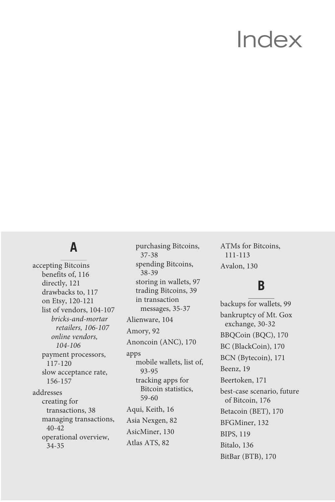## [Index](#page-8-0)

## <span id="page-29-0"></span> **A**

 accepting Bitcoins benefits of, [116](#page--1-4) directly, [121](#page--1-4)  drawbacks to, [117](#page--1-4)  on Etsy, [120](#page--1-4)-121 list of vendors, [104](#page--1-4)-107  *bricks-and-mortar retailers, [106](#page--1-4) - [107](#page--1-4)  online vendors,  [104](#page--1-4) - [106](#page--1-4)*  payment processors,  [117 - 120](#page--1-4)  slow acceptance rate,  [156 - 157](#page--1-4)  addresses creating for transactions, [38](#page--1-4) managing transactions,  [40 - 42](#page--1-4) operational overview,  [34 - 35](#page--1-4)

 purchasing Bitcoins,  [37 - 38](#page--1-4) spending Bitcoins,  [38 - 39](#page--1-4) storing in wallets, [97](#page--1-4) trading Bitcoins, [39](#page--1-4) in transaction messages, [35](#page--1-4)-37 Alienware, [104](#page--1-4) Amory, [92](#page--1-4) Anoncoin (ANC), [170](#page--1-4) apps mobile wallets, list of,  [93 - 95](#page--1-4) tracking apps for Bitcoin statistics,  [59 - 60](#page--1-4) Aqui, Keith, [16](#page--1-4) Asia Nexgen, [82](#page--1-4)  AsicMiner, [130](#page--1-4)  Atlas ATS, [82](#page--1-4)

 ATMs for Bitcoins,  [111 - 113](#page--1-4)  Avalon, [130](#page--1-4)

## **B**

 backups for wallets, [99](#page--1-4)  bankruptcy of Mt. Gox exchange, [30](#page-26-0)-32 BBQCoin (BQC), [170](#page--1-4) BC (BlackCoin), [170](#page--1-4) BCN (Bytecoin), [171](#page--1-4) Beenz, [19](#page-15-0)  Beertoken, [171](#page--1-4) best-case scenario, future of Bitcoin, [176](#page--1-4) Betacoin (BET), [170](#page--1-4)  BFGMiner, [132](#page--1-4)  BIPS, [119](#page--1-4) Bitalo, [136](#page--1-4) BitBar (BTB), [170](#page--1-4)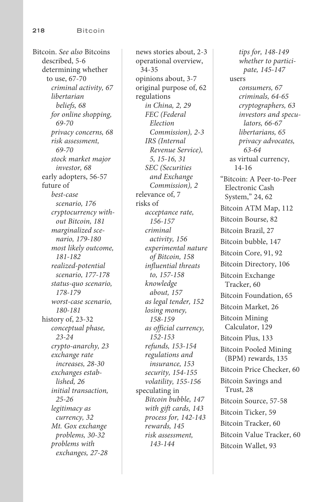Bitcoin . *See also* Bitcoins described, [5](#page--1-4)-6 determining whether to use, [67](#page--1-4)-70  *criminal activity, [67](#page--1-4) libertarian beliefs, [68](#page--1-4) for online shopping,  [69 - 70](#page--1-4) privacy concerns, [68](#page--1-4) risk assessment, [69- 70](#page--1-4) stock market major investor, [68](#page--1-4)*  early adopters, [56](#page--1-4)-57 future of  *best-case scenario, [176](#page--1-4) cryptocurrency without Bitcoin, [181](#page--1-4) marginalized scenario, [179 - 180](#page--1-4) most likely outcome,  [181](#page--1-4) [- 182](#page--1-4) realized-potential scenario, [177 - 178](#page--1-4) status-quo scenario,  [178](#page--1-4) [- 179](#page--1-4) worst-case scenario,  [180](#page--1-4) [- 181](#page--1-4)*  history of, [23](#page-19-1)-32  *conceptual phase,  [23](#page-19-1) [- 24](#page-20-0) crypto-anarchy, [23](#page-19-1) exchange rate increases, [28](#page-24-0) [- 30](#page-26-0) exchanges established, [26](#page-22-0) initial transaction,  [25](#page-21-0) [- 26](#page-22-0) legitimacy as currency, [32](#page-28-1) Mt. Gox exchange problems, [30](#page-26-0) [- 32](#page-28-1) problems with exchanges, [27](#page-23-0) [- 28](#page-24-0)* 

news stories about, [2](#page--1-4)-3 operational overview,  [34](#page--1-4) [- 35](#page--1-4) opinions about, [3](#page--1-4) [- 7](#page--1-4) original purpose of, [62](#page--1-4) regulations  *in China, [2](#page--1-4) , [29](#page-25-0) FEC (Federal Election Commission), [2](#page--1-4) [- 3](#page--1-4) IRS (Internal Revenue Service),  [5](#page--1-4) , [15](#page--1-4) [- 16](#page--1-4) , [31](#page-27-0) SEC (Securities and Exchange Commission), [2](#page--1-4)*  relevance of, [7](#page--1-4) risks of  *acceptance rate,  [156](#page--1-4) [- 157](#page--1-4) criminal activity, [156](#page--1-4) experimental nature of Bitcoin, [158](#page--1-4) influential threats to, [157](#page--1-4) [- 158](#page--1-4) knowledge about, [157](#page--1-4) as legal tender, [152](#page--1-4) losing money,  [158](#page--1-4) [- 159](#page--1-4) as official currency,  [152](#page--1-4) [- 153](#page--1-4) refunds, [153 - 154](#page--1-4) regulations and insurance, [153](#page--1-4) security, [154 - 155](#page--1-4) volatility, [155](#page--1-4) [- 156](#page--1-4)*  speculating in  *Bitcoin bubble, [147](#page--1-4) with gift cards, [143](#page--1-4) process for, [142 - 143](#page--1-4) rewards, [145](#page--1-4) risk assessment,  [143](#page--1-4) [- 144](#page--1-4)* 

 *tips for, [148](#page--1-4) [- 149](#page--1-4) whether to participate, [145](#page--1-4) [- 147](#page--1-4)*  users  *consumers, [67](#page--1-4) criminals, [64](#page--1-4) [- 65](#page--1-4) cryptographers, [63](#page--1-4) investors and speculators, [66 - 67](#page--1-4) libertarians, [65](#page--1-4) privacy advocates,  [63 - 64](#page--1-4)*  as virtual currency,  [14](#page--1-4) [- 16](#page--1-4) "Bitcoin: A Peer-to-Peer Electronic Cash System," [24](#page-20-0), [62](#page--1-4) Bitcoin ATM Map, [112](#page--1-4) Bitcoin Bourse, [82](#page--1-4) Bitcoin Brazil, [27](#page-23-0) Bitcoin bubble, [147](#page--1-4) Bitcoin Core, [91](#page--1-4), [92](#page--1-4) Bitcoin Directory, [106](#page--1-4) Bitcoin Exchange Tracker, [60](#page--1-4) Bitcoin Foundation, [65](#page--1-4) Bitcoin Market, [26](#page-22-0) Bitcoin Mining Calculator, [129](#page--1-4) Bitcoin Plus, [133](#page--1-4) Bitcoin Pooled Mining (BPM) rewards, [135](#page--1-4) Bitcoin Price Checker, [60](#page--1-4) Bitcoin Savings and Trust, [28](#page-24-0) Bitcoin Source, [57](#page--1-4)-58 Bitcoin Ticker, [59](#page--1-4) Bitcoin Tracker, [60](#page--1-4) Bitcoin Value Tracker, [60](#page--1-4) Bitcoin Wallet, [93](#page--1-4)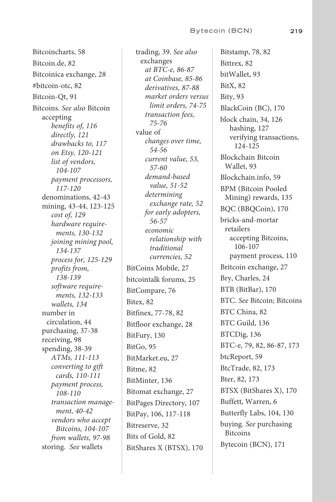#### **Bytecoin (BCN) 219**

 Bitcoincharts, [58](#page--1-4) Bitcoin.de, [82](#page--1-4) Bitcoinica exchange, [28](#page-24-0) #bitcoin-otc, [82](#page--1-4) Bitcoin-Qt, [91](#page--1-4) Bitcoins . *See also* Bitcoin accepting  *benefits of, [116](#page--1-4) directly, [121](#page--1-4) drawbacks to, [117](#page--1-4) on Etsy, [120](#page--1-4) [- 121](#page--1-4) list of vendors,  [104](#page--1-4) [- 107](#page--1-4) payment processors,  [117](#page--1-4) [- 120](#page--1-4)*  denominations, [42](#page--1-4)-43 mining, 43-44, [123](#page--1-4)-125  *cost of, [129](#page--1-4) hardware requirements, [130 - 132](#page--1-4) joining mining pool,  [134](#page--1-4) [- 137](#page--1-4) process for, [125 - 129](#page--1-4) profits from,  [138](#page--1-4) [- 139](#page--1-4) software requirements, [132 - 133](#page--1-4) wallets, [134](#page--1-4)*  number in circulation, [44](#page--1-4) purchasing, [37](#page--1-4)-38 receiving, [98](#page--1-4) spending, [38](#page--1-4)-39  *ATMs, [111](#page--1-4) [- 113](#page--1-4) converting to gift cards, [110](#page--1-4) [- 111](#page--1-4) payment process,  [108](#page--1-4) [- 110](#page--1-4) transaction management, [40 - 42](#page--1-4) vendors who accept Bitcoins, [104 - 107](#page--1-4) from wallets, [97](#page--1-4) [- 98](#page--1-4)*  storing. *See* wallets

 trading, [39](#page--1-4) . *See also* exchanges  *at BTC-e, [86](#page--1-4) [- 87](#page--1-4) at Coinbase, [85](#page--1-4) [- 86](#page--1-4) derivatives, [87](#page--1-4) [- 88](#page--1-4) market orders versus limit orders, [74](#page--1-4) [- 75](#page--1-4) transaction fees,  [75 - 76](#page--1-4)*  value of  *changes over time,  [54 - 56](#page--1-4) current value, [53](#page--1-4) ,  [57 - 60](#page--1-4) demand-based value, [51 - 52](#page--1-4) determining exchange rate, [52](#page--1-4) for early adopters,  [56 - 57](#page--1-4) economic relationship with traditional currencies, [52](#page--1-4)*  BitCoins Mobile, [27](#page-23-0) bitcointalk forums, [25](#page-21-0) BitCompare, [76](#page--1-4) Bitex, [82](#page--1-4) Bitfinex, [77](#page--1-4)-78, [82](#page--1-4) Bitfloor exchange, [28](#page-24-0) BitFury, [130](#page--1-4) BitGo, [95](#page--1-4) BitMarket.eu, [27](#page-23-0) Bitme, [82](#page--1-4) BitMinter, [136](#page--1-4) Bitomat exchange, [27](#page-23-0) BitPages Directory, [107](#page--1-4) BitPay, [106](#page--1-4), 117-118 Bitreserve, [32](#page-28-1) Bits of Gold, [82](#page--1-4) BitShares X (BTSX), [170](#page--1-4)

Bitstamp, [78](#page--1-4), [82](#page--1-4) Bittrex, [82](#page--1-4) bitWallet, [93](#page--1-4) BitX, [82](#page--1-4) Bity, [93](#page--1-4) BlackCoin (BC), [170](#page--1-4) block chain, [34](#page--1-4), [126](#page--1-4) hashing, [127](#page--1-4) verifying transactions,  [124](#page--1-4) [- 125](#page--1-4) Blockchain Bitcoin Wallet, [93](#page--1-4) Blockchain.info, [59](#page--1-4) BPM (Bitcoin Pooled Mining) rewards, [135](#page--1-4) BQC (BBQCoin), [170](#page--1-4) bricks-and-mortar retailers accepting Bitcoins,  [106](#page--1-4) [- 107](#page--1-4) payment process, [110](#page--1-4) Britcoin exchange, [27](#page-23-0) Bry, Charles, [24](#page-20-0) BTB (BitBar), [170](#page--1-4) BTC. *See* Bitcoin; Bitcoins BTC China, [82](#page--1-4) BTC Guild, [136](#page--1-4) BTCDig, [136](#page--1-4) BTC-e, [79](#page--1-4), [82](#page--1-4), [86](#page--1-4)-87, [173](#page--1-4) btcReport, [59](#page--1-4) BtcTrade, [82](#page--1-4), [173](#page--1-4) Bter, [82](#page--1-4), [173](#page--1-4) BTSX (BitShares X), [170](#page--1-4) Buffett, Warren, [6](#page--1-4) Butterfly Labs, [104](#page--1-4), [130](#page--1-4) buying. *See* purchasing Bitcoins Bytecoin (BCN), [171](#page--1-4)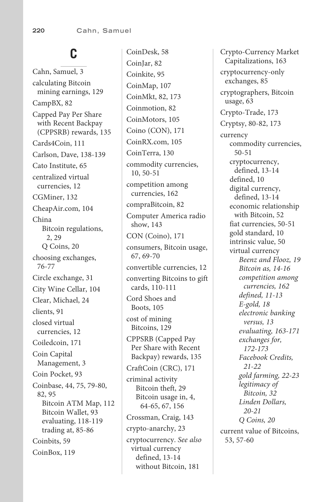## **C**

 Cahn, Samuel, [3](#page--1-4) calculating Bitcoin mining earnings, [129](#page--1-4) CampBX, [82](#page--1-4) Capped Pay Per Share with Recent Backpay (CPPSRB) rewards, [135](#page--1-4) Cards4Coin, [111](#page--1-4) Carlson, Dave, [138](#page--1-4)-139 Cato Institute, [65](#page--1-4) centralized virtual currencies, [12](#page--1-4) CGMiner, [132](#page--1-4) CheapAir.com, [104](#page--1-4) China Bitcoin regulations, 2, [2](#page--1-4)9 Q Coins, [20](#page-16-0) choosing exchanges,  [76 - 77](#page--1-4) Circle exchange, [31](#page-27-0) City Wine Cellar, [104](#page--1-4) Clear, Michael, [24](#page-20-0) clients, [91](#page--1-4) closed virtual currencies, [12](#page--1-4) Coiledcoin, [171](#page--1-4) Coin Capital Management, [3](#page--1-4) Coin Pocket, [93](#page--1-4) Coinbase, [44](#page--1-4), [75](#page--1-4), [79](#page--1-4)-80, 82, [95](#page--1-4) Bitcoin ATM Map, [112](#page--1-4) Bitcoin Wallet, [93](#page--1-4) evaluating, 118-119 trading at, 85-86 Coinbits, [59](#page--1-4) CoinBox, [119](#page--1-4)

 CoinDesk, [58](#page--1-4) CoinJar, [82](#page--1-4) Coinkite, [95](#page--1-4) CoinMap, [107](#page--1-4) CoinMkt, [82](#page--1-4), [173](#page--1-4) Coinmotion, [82](#page--1-4) CoinMotors, [105](#page--1-4) Coino (CON), [171](#page--1-4) CoinRX.com, [105](#page--1-4) CoinTerra, [130](#page--1-4) commodity currencies, 10, [50](#page--1-4)-51 competition among currencies, [162](#page--1-4) compraBitcoin, [82](#page--1-4) Computer America radio show, [143](#page--1-4) CON (Coino), [171](#page--1-4) consumers, Bitcoin usage, 67, [69](#page--1-4)-70 convertible currencies, [12](#page--1-4) converting Bitcoins to gift cards, 110-111 Cord Shoes and Boots, [105](#page--1-4) cost of mining Bitcoins, [129](#page--1-4) CPPSRB (Capped Pay Per Share with Recent Backpay) rewards, [135](#page--1-4) CraftCoin (CRC), [171](#page--1-4) criminal activity Bitcoin theft, [29](#page-25-0) Bitcoin usage in, [4](#page--1-4), 64-65, [67](#page--1-4), [156](#page--1-4) Crossman, Craig, [143](#page--1-4) crypto-anarchy, [23](#page-19-1) cryptocurrency . *See also* virtual currency defined, 13-14 without Bitcoin, [181](#page--1-4)

 Crypto-Currency Market Capitalizations, [163](#page--1-4) cryptocurrency-only exchanges, [85](#page--1-4) cryptographers, Bitcoin usage, [63](#page--1-4) Crypto-Trade, [173](#page--1-4) Cryptsy, [80](#page--1-4)-82, [173](#page--1-4) currency commodity currencies,  [50](#page--1-4) [- 51](#page--1-4) cryptocurrency, defined, [13 - 14](#page--1-4) defined, [10](#page--1-4) digital currency, defined, [13 - 14](#page--1-4) economic relationship with Bitcoin, [52](#page--1-4) fiat currencies, 50-51 gold standard, [10](#page--1-4) intrinsic value, [50](#page--1-4) virtual currency  *Beenz and Flooz, [19](#page-15-0) Bitcoin as, [14](#page--1-4) [- 16](#page--1-4) competition among currencies, [162](#page--1-4) defined, [11](#page--1-4) [- 13](#page--1-4) E-gold, [18](#page-14-1) electronic banking versus, [13](#page--1-4) evaluating, [163 - 171](#page--1-4) exchanges for,  [172](#page--1-4) [- 173](#page--1-4) Facebook Credits,  [21](#page-17-0) [- 22](#page-18-0) gold farming, [22](#page-18-0) [- 23](#page-19-1) legitimacy of Bitcoin, [32](#page-28-1) Linden Dollars,  [20](#page-16-0) [- 21](#page-17-0) Q Coins, [20](#page-16-0)*  current value of Bitcoins,  [53](#page--1-4) , [57](#page--1-4) [- 60](#page--1-4)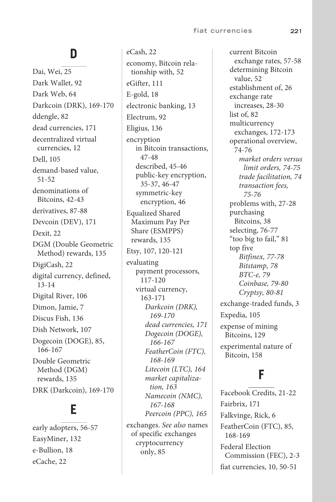#### **D**

 Dai, Wei, [25](#page-21-0) Dark Wallet, [92](#page--1-4) Dark Web, [64](#page--1-4) Darkcoin (DRK), [169](#page--1-4)-170 ddengle, [82](#page--1-4) dead currencies, [171](#page--1-4) decentralized virtual currencies, [12](#page--1-4) Dell, [105](#page--1-4) demand-based value,  [51 - 52](#page--1-4) denominations of Bitcoins, [42](#page--1-4)-43 derivatives, 87-88 Devcoin (DEV), [171](#page--1-4) Dexit, [22](#page-18-0) DGM (Double Geometric Method) rewards, [135](#page--1-4) DigiCash, [22](#page-18-0) digital currency, defined,  [13 - 14](#page--1-4) Digital River, [106](#page--1-4) Dimon, Jamie, [7](#page--1-4) Discus Fish, [136](#page--1-4) Dish Network, [107](#page--1-4) Dogecoin (DOGE), [85](#page--1-4),  [166](#page--1-4) [- 167](#page--1-4) Double Geometric Method (DGM) rewards, [135](#page--1-4) DRK (Darkcoin), [169](#page--1-4)-170

## **E**

early adopters, [56](#page--1-4)-57 EasyMiner, [132](#page--1-4) e-Bullion, [18](#page-14-1) eCache, [22](#page-18-0)

 eCash, [22](#page-18-0) economy, Bitcoin relationship with, [52](#page--1-4) eGifter, [111](#page--1-4) E-gold, [18](#page-14-1) electronic banking, [13](#page--1-4) Electrum, [92](#page--1-4) Eligius, [136](#page--1-4) encryption in Bitcoin transactions, 47-48 described, [45](#page--1-4)-46 public-key encryption,  [35](#page--1-4) [- 37](#page--1-4) , [46](#page--1-4) [- 47](#page--1-4) symmetric-key encryption, [46](#page--1-4) Equalized Shared Maximum Pay Per Share (ESMPPS) rewards, [135](#page--1-4) Etsy, [107](#page--1-4), [120](#page--1-4)-121 evaluating payment processors,  [117](#page--1-4) [- 120](#page--1-4) virtual currency,  [163](#page--1-4) [- 171](#page--1-4)  *Darkcoin (DRK),  [169](#page--1-4) [- 170](#page--1-4) dead currencies, [171](#page--1-4) Dogecoin (DOGE),  [166](#page--1-4) [- 167](#page--1-4) FeatherCoin (FTC),  [168](#page--1-4) [- 169](#page--1-4) Litecoin (LTC), [164](#page--1-4) market capitalization, [163](#page--1-4) Namecoin (NMC),  [167](#page--1-4) [- 168](#page--1-4) Peercoin (PPC), [165](#page--1-4)* 

 exchanges . *See also* names of specific exchanges cryptocurrency only, [85](#page--1-4)

 current Bitcoin exchange rates, [57](#page--1-4)-58 determining Bitcoin value, [52](#page--1-4) establishment of, [26](#page-22-0) exchange rate increases, [28](#page-24-0)-30 list of, [82](#page--1-4) multicurrency exchanges, [172](#page--1-4) [- 173](#page--1-4) operational overview,  [74](#page--1-4) [- 76](#page--1-4)  *market orders versus limit orders, [74](#page--1-4) [- 75](#page--1-4) trade facilitation, [74](#page--1-4) transaction fees,  [75 - 76](#page--1-4)*  problems with, [27](#page-23-0)-28 purchasing Bitcoins, [38](#page--1-4) selecting, [76](#page--1-4)-77 "too big to fail," [81](#page--1-4) top five  *Bitfinex, [77 - 78](#page--1-4) Bitstamp, [78](#page--1-4) BTC-e, [79](#page--1-4) Coinbase, [79 - 80](#page--1-4) Cryptsy, [80 - 81](#page--1-4)*  exchange-traded funds, [3](#page--1-4) Expedia, [105](#page--1-4) expense of mining Bitcoins, [129](#page--1-4) experimental nature of Bitcoin, [158](#page--1-4)

#### **F**

Facebook Credits, [21](#page-17-0)-22 Fairbrix, [171](#page--1-4) Falkvinge, Rick, [6](#page--1-4) FeatherCoin (FTC), [85](#page--1-4) ,  [168](#page--1-4) [- 169](#page--1-4) Federal Election Commission (FEC), [2](#page--1-4)-3 fiat currencies, [10](#page--1-4), [50](#page--1-4)-51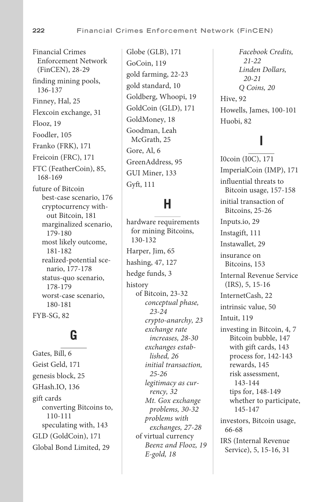Financial Crimes Enforcement Network (FinCEN), [28](#page-24-0)-29 finding mining pools,  [136](#page--1-4) [- 137](#page--1-4) Finney, Hal, [25](#page-21-0) Flexcoin exchange, [31](#page-27-0) Flooz, [19](#page-15-0) Foodler, [105](#page--1-4) Franko (FRK), [171](#page--1-4) Freicoin (FRC), [171](#page--1-4) FTC (FeatherCoin), [85](#page--1-4),  [168](#page--1-4) [- 169](#page--1-4) future of Bitcoin best-case scenario, [176](#page--1-4) cryptocurrency without Bitcoin, [181](#page--1-4) marginalized scenario,  [179](#page--1-4) [- 180](#page--1-4) most likely outcome,  [181](#page--1-4) [- 182](#page--1-4) realized-potential scenario, [177 - 178](#page--1-4) status-quo scenario,  [178](#page--1-4) [- 179](#page--1-4) worst-case scenario,  [180](#page--1-4) [- 181](#page--1-4) FYB-SG, [82](#page--1-4)

## **G**

 Gates, Bill, [6](#page--1-4) Geist Geld, [171](#page--1-4) genesis block, [25](#page-21-0) GHash.IO, [136](#page--1-4) gift cards converting Bitcoins to,  [110](#page--1-4) [- 111](#page--1-4) speculating with, [143](#page--1-4) GLD (GoldCoin), [171](#page--1-4) Global Bond Limited, [29](#page-25-0)

 Globe (GLB), [171](#page--1-4) GoCoin, [119](#page--1-4) gold farming, [22](#page-18-0)-23 gold standard, [10](#page--1-4) Goldberg, Whoopi, [19](#page-15-0) GoldCoin (GLD), [171](#page--1-4) GoldMoney, [18](#page-14-1) Goodman, Leah McGrath, [25](#page-21-0) Gore, Al, [6](#page--1-4) GreenAddress, [95](#page--1-4) GUI Miner, [133](#page--1-4) Gyft, [111](#page--1-4)

#### **H**

 hardware requirements for mining Bitcoins,  [130](#page--1-4) [- 132](#page--1-4) Harper, Jim, [65](#page--1-4) hashing, [47](#page--1-4), [127](#page--1-4) hedge funds, [3](#page--1-4) history of Bitcoin, [23](#page-19-1) [- 32](#page-28-1)  *conceptual phase,  [23](#page-19-1) [- 24](#page-20-0) crypto-anarchy, [23](#page-19-1) exchange rate increases, [28](#page-24-0) [- 30](#page-26-0) exchanges established, [26](#page-22-0) initial transaction,  [25](#page-21-0) [- 26](#page-22-0) legitimacy as currency, [32](#page-28-1) Mt. Gox exchange problems, [30](#page-26-0) [- 32](#page-28-1) problems with exchanges, [27](#page-23-0) [- 28](#page-24-0)*  of virtual currency  *Beenz and Flooz, [19](#page-15-0) E-gold, [18](#page-14-1)* 

 *Facebook Credits,  [21](#page-17-0) [- 22](#page-18-0) Linden Dollars,  [20](#page-16-0) [- 21](#page-17-0) Q Coins, [20](#page-16-0)*  Hive, [92](#page--1-4) Howells, James, [100](#page--1-4)-101 Huobi, [82](#page--1-4)

## **I**

 I0coin (I0C), [171](#page--1-4) ImperialCoin (IMP), [171](#page--1-4) influential threats to Bitcoin usage, [157](#page--1-4)-158 initial transaction of Bitcoins, [25](#page-21-0)-26 Inputs.io, [29](#page-25-0) Instagift, [111](#page--1-4) Instawallet, [29](#page-25-0) insurance on Bitcoins, [153](#page--1-4) Internal Revenue Service  $(IRS), 5, 15-16$  $(IRS), 5, 15-16$  $(IRS), 5, 15-16$  $(IRS), 5, 15-16$  $(IRS), 5, 15-16$  InternetCash, [22](#page-18-0) intrinsic value, [50](#page--1-4) Intuit, [119](#page--1-4) investing in Bitcoin, [4](#page--1-4), [7](#page--1-4) Bitcoin bubble, [147](#page--1-4) with gift cards, [143](#page--1-4) process for, [142](#page--1-4) [- 143](#page--1-4) rewards, [145](#page--1-4) risk assessment,  [143](#page--1-4) [- 144](#page--1-4) tips for, [148](#page--1-4)-149 whether to participate,  [145](#page--1-4) [- 147](#page--1-4) investors, Bitcoin usage, 66 - 68 IRS (Internal Revenue Service), [5](#page--1-4), [15](#page--1-4)-16, [31](#page-27-0)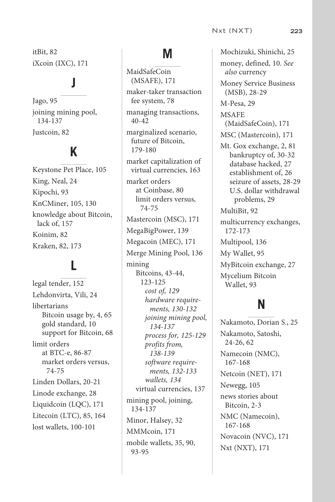itBit, [82](#page--1-4) iXcoin (IXC), [171](#page--1-4)

## **J**

 Jago, [95](#page--1-4) joining mining pool,  [134](#page--1-4) [- 137](#page--1-4) Justcoin, [82](#page--1-4)

## **K**

 Keystone Pet Place, [105](#page--1-4) King, Neal, [24](#page-20-0) Kipochi, [93](#page--1-4) KnCMiner, [105](#page--1-4), [130](#page--1-4) knowledge about Bitcoin, lack of, [157](#page--1-4) Koinim, [82](#page--1-4) Kraken, [82](#page--1-4), [173](#page--1-4)

## **L**

 legal tender, [152](#page--1-4) Lehdonvirta, Vili, [24](#page-20-0) libertarians Bitcoin usage by, [4](#page--1-4), [65](#page--1-4) gold standard, [10](#page--1-4) support for Bitcoin, [68](#page--1-4) limit orders at BTC-e, [86](#page--1-4)-87 market orders versus,  [74 - 75](#page--1-4) Linden Dollars, [20](#page-16-0)-21 Linode exchange, [28](#page-24-0) Liquidcoin (LQC), [171](#page--1-4) Litecoin (LTC), [85](#page--1-4), [164](#page--1-4) lost wallets, [100](#page--1-4)-101

## **M**

 MaidSafeCoin (MSAFE), [171](#page--1-4) maker-taker transaction fee system, [78](#page--1-4) managing transactions,  $40 - 42$  $40 - 42$  marginalized scenario, future of Bitcoin,  [179](#page--1-4) [- 180](#page--1-4) market capitalization of virtual currencies, [163](#page--1-4) market orders at Coinbase, [80](#page--1-4) limit orders versus,  [74](#page--1-4) [- 75](#page--1-4) Mastercoin (MSC), [171](#page--1-4) MegaBigPower, [139](#page--1-4) Megacoin (MEC), [171](#page--1-4) Merge Mining Pool, [136](#page--1-4) mining Bitcoins, [43](#page--1-4)-44,  [123](#page--1-4) [- 125](#page--1-4)  *cost of, [129](#page--1-4) hardware requirements, [130 - 132](#page--1-4) joining mining pool,  [134](#page--1-4) [- 137](#page--1-4) process for, [125 - 129](#page--1-4) profits from,  [138](#page--1-4) [- 139](#page--1-4) software requirements, [132 - 133](#page--1-4) wallets, [134](#page--1-4)*  virtual currencies, [137](#page--1-4) mining pool, joining,  [134](#page--1-4) [- 137](#page--1-4) Minor, Halsey, [32](#page-28-1) MMMcoin, [171](#page--1-4) mobile wallets, [35](#page--1-4), [90](#page--1-4),  [93](#page--1-4) [- 95](#page--1-4)

 Mochizuki, Shinichi, [25](#page-21-0) money, defined, 10 . *See also* currency Money Service Business  $(MSB)$ , [28](#page-24-0)-29 M-Pesa, [29](#page-25-0) MSAFE (MaidSafeCoin), [171](#page--1-4) MSC (Mastercoin), [171](#page--1-4) Mt. Gox exchange, [2](#page--1-4), [81](#page--1-4) bankruptcy of, [30](#page-26-0)-32 database hacked, [27](#page-23-0) establishment of, [26](#page-22-0) seizure of assets, [28](#page-24-0)-29 U.S. dollar withdrawal problems, [29](#page-25-0) MultiBit, [92](#page--1-4) multicurrency exchanges,  [172](#page--1-4) [- 173](#page--1-4) Multipool, [136](#page--1-4) My Wallet, [95](#page--1-4) MyBitcoin exchange, [27](#page-23-0) Mycelium Bitcoin Wallet, [93](#page--1-4)

## **N**

 Nakamoto, Dorian S., [25](#page-21-0) Nakamoto, Satoshi,  [24](#page-20-0) [- 26](#page-22-0) , [62](#page--1-4) Namecoin (NMC),  [167](#page--1-4) [- 168](#page--1-4) Netcoin (NET), [171](#page--1-4) Newegg, [105](#page--1-4) news stories about Bitcoin, [2](#page--1-4)-3 NMC (Namecoin),  [167](#page--1-4) [- 168](#page--1-4) Novacoin (NVC), [171](#page--1-4) Nxt (NXT), [171](#page--1-4)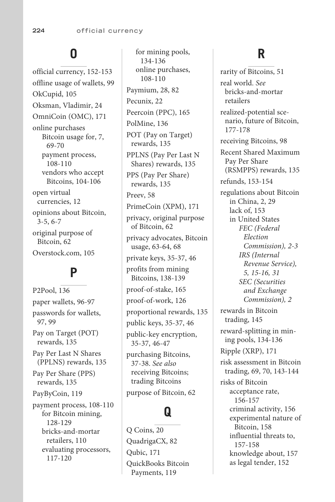## **O**

official currency, [152](#page--1-4)-153 offline usage of wallets, [99](#page--1-4) OkCupid, [105](#page--1-4) Oksman, Vladimir, [24](#page-20-0) OmniCoin (OMC), [171](#page--1-4) online purchases Bitcoin usage for, [7](#page--1-4), 69-70 payment process,  [108](#page--1-4) [- 110](#page--1-4) vendors who accept Bitcoins, [104](#page--1-4)-106 open virtual currencies, [12](#page--1-4) opinions about Bitcoin,  $3 - 5, 6 - 7$  $3 - 5, 6 - 7$  $3 - 5, 6 - 7$  $3 - 5, 6 - 7$  $3 - 5, 6 - 7$  $3 - 5, 6 - 7$  original purpose of Bitcoin, [62](#page--1-4) Overstock.com, [105](#page--1-4)

## **P**

 P2Pool, [136](#page--1-4) paper wallets, [96](#page--1-4)-97 passwords for wallets,  [97](#page--1-4) , [99](#page--1-4) Pay on Target (POT) rewards, [135](#page--1-4) Pay Per Last N Shares (PPLNS) rewards, [135](#page--1-4) Pay Per Share (PPS) rewards, [135](#page--1-4) PayByCoin, [119](#page--1-4) payment process, [108](#page--1-4)-110 for Bitcoin mining,  [128](#page--1-4) [- 129](#page--1-4) bricks-and-mortar retailers, [110](#page--1-4) evaluating processors,  [117](#page--1-4) [- 120](#page--1-4)

 for mining pools,  [134](#page--1-4) [- 136](#page--1-4) online purchases,  [108](#page--1-4) [- 110](#page--1-4) Paymium, [28,](#page-24-0) [82](#page--1-4) Pecunix, [22](#page-18-0) Peercoin (PPC), [165](#page--1-4) PolMine, [136](#page--1-4) POT (Pay on Target) rewards, [135](#page--1-4) PPLNS (Pay Per Last N Shares) rewards, [135](#page--1-4) PPS (Pay Per Share) rewards, [135](#page--1-4) Preev, [58](#page--1-4) PrimeCoin (XPM), [171](#page--1-4) privacy, original purpose of Bitcoin, [62](#page--1-4) privacy advocates, Bitcoin usage, [63](#page--1-4)-64, [68](#page--1-4) private keys, [35](#page--1-4)-37, [46](#page--1-4) profits from mining Bitcoins, [138](#page--1-4) [- 139](#page--1-4) proof-of-stake, [165](#page--1-4) proof-of-work, [126](#page--1-4) proportional rewards, [135](#page--1-4) public keys, [35](#page--1-4)-37, [46](#page--1-4) public-key encryption,  [35](#page--1-4) [- 37](#page--1-4) , [46](#page--1-4) [- 47](#page--1-4) purchasing Bitcoins,  [37](#page--1-4) [- 38](#page--1-4) . *See also* receiving Bitcoins; trading Bitcoins

purpose of Bitcoin, [62](#page--1-4)

## **Q**

 Q Coins, [20](#page-16-0) QuadrigaCX, [82](#page--1-4) Qubic, [171](#page--1-4) QuickBooks Bitcoin Payments, [119](#page--1-4)

## **R**

 rarity of Bitcoins, [51](#page--1-4) real world. *See* bricks-and-mortar retailers realized-potential scenario, future of Bitcoin,  [177](#page--1-4) [- 178](#page--1-4) receiving Bitcoins, [98](#page--1-4) Recent Shared Maximum Pay Per Share (RSMPPS) rewards, [135](#page--1-4) refunds, [153](#page--1-4) [- 154](#page--1-4) regulations about Bitcoin in China, [2](#page--1-4), [29](#page-25-0) lack of, [153](#page--1-4) in United States  *FEC (Federal Election Commission), [2](#page--1-4) [- 3](#page--1-4) IRS (Internal Revenue Service),  [5](#page--1-4) , [15](#page--1-4) [- 16](#page--1-4) , [31](#page-27-0) SEC (Securities and Exchange Commission), [2](#page--1-4)*  rewards in Bitcoin trading, [145](#page--1-4) reward-splitting in mining pools, [134](#page--1-4) [- 136](#page--1-4) Ripple (XRP), [171](#page--1-4) risk assessment in Bitcoin trading, [69](#page--1-4), [70](#page--1-4), [143](#page--1-4)-144 risks of Bitcoin acceptance rate,  [156](#page--1-4) [- 157](#page--1-4) criminal activity, [156](#page--1-4) experimental nature of Bitcoin, [158](#page--1-4) influential threats to,  [157](#page--1-4) [- 158](#page--1-4) knowledge about, [157](#page--1-4) as legal tender, [152](#page--1-4)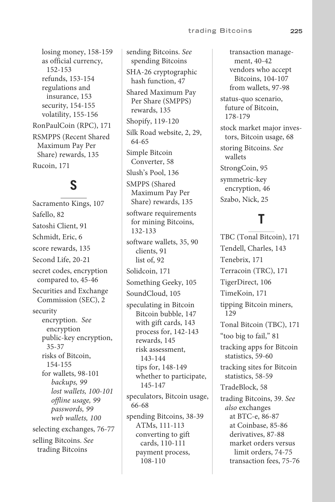losing money, 158-159 as official currency,  [152 - 153](#page--1-4)  refunds, [153](#page--1-4) - [154](#page--1-4) regulations and insurance, [153](#page--1-4)  security, 154-155 volatility, 155-156 RonPaulCoin (RPC), [171](#page--1-4)  RSMPPS (Recent Shared Maximum Pay Per Share) rewards, [135](#page--1-4)  Rucoin, [171](#page--1-4)

## **S**

 Sacramento Kings, [107](#page--1-4)  Safello, [82](#page--1-4) Satoshi Client, [91](#page--1-4)  Schmidt, Eric, [6](#page--1-4) score rewards, [135](#page--1-4)  Second Life, 20-21 secret codes, encryption compared to, 45-46 Securities and Exchange Commission (SEC), [2](#page--1-4)  security encryption. *See* encryption public-key encryption,  [35 - 37](#page--1-4) risks of Bitcoin,  [154 - 155](#page--1-4)  for wallets, [98](#page--1-4)-101  *backups, [99](#page--1-4)  lost wallets, [100 - 101](#page--1-4) offline usage, [99](#page--1-4)  passwords, [99](#page--1-4)  web wallets, [100](#page--1-4)*  selecting exchanges, 76-77 selling Bitcoins. *See* trading Bitcoins

 sending Bitcoins. *See* spending Bitcoins SHA-26 cryptographic hash function, [47](#page--1-4) Shared Maximum Pay Per Share (SMPPS) rewards, [135](#page--1-4) Shopify, [119](#page--1-4)-120 Silk Road website, 2, 29, 64 - 65 Simple Bitcoin Converter, [58](#page--1-4)  Slush's Pool, [136](#page--1-4)  SMPPS (Shared Maximum Pay Per Share) rewards, [135](#page--1-4)  software requirements for mining Bitcoins,  [132 - 133](#page--1-4)  software wallets, [35](#page--1-4), 90 clients, [91](#page--1-4)  list of, [92](#page--1-4) Solidcoin, [171](#page--1-4) Something Geeky, [105](#page--1-4)  SoundCloud, [105](#page--1-4) speculating in Bitcoin Bitcoin bubble, [147](#page--1-4) with gift cards, [143](#page--1-4) process for, 142-143 rewards, [145](#page--1-4) risk assessment,  [143 - 144](#page--1-4)  tips for, [148](#page--1-4)-149 whether to participate,  [145 - 147](#page--1-4)  speculators, Bitcoin usage, 66-68 spending Bitcoins, 38-39 ATMs, [111](#page--1-4) - [113](#page--1-4) converting to gift cards, 110-111 payment process,  [108 - 110](#page--1-4) 

ment, 40-42 vendors who accept Bitcoins, [104](#page--1-4)-107 from wallets, [97](#page--1-4)-98 status-quo scenario, future of Bitcoin,  [178 - 179](#page--1-4)  stock market major investors, Bitcoin usage, [68](#page--1-4)  storing Bitcoins. *See* wallets StrongCoin, [95](#page--1-4) symmetric-key encryption, [46](#page--1-4)  Szabo, Nick, [25](#page-21-0)

transaction manage-

## **T**

 TBC (Tonal Bitcoin), [171](#page--1-4)  Tendell, Charles, [143](#page--1-4) Tenebrix, [171](#page--1-4)  Terracoin (TRC), [171](#page--1-4)  TigerDirect, [106](#page--1-4) TimeKoin, [171](#page--1-4)  tipping Bitcoin miners,  [129](#page--1-4)  Tonal Bitcoin (TBC), [171](#page--1-4)  "too big to fail," [81](#page--1-4)  tracking apps for Bitcoin statistics, 59-60 tracking sites for Bitcoin statistics, 58-59 TradeBlock, [58](#page--1-4) trading Bitcoins, 39 . *See also* exchanges at BTC-e, [86](#page--1-4)-87 at Coinbase, [85 - 86](#page--1-4) derivatives, 87-88 market orders versus limit orders, [74](#page--1-4)-75 transaction fees, 75-76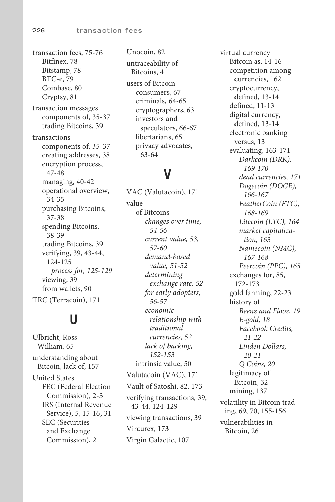transaction fees, [75](#page--1-4)-76 Bitfinex, [78](#page--1-4) Bitstamp, [78](#page--1-4) BTC-e, [79](#page--1-4) Coinbase, [80](#page--1-4) Cryptsy, [81](#page--1-4) transaction messages components of, [35](#page--1-4)-37 trading Bitcoins, [39](#page--1-4) transactions components of, [35](#page--1-4)-37 creating addresses, [38](#page--1-4) encryption process,  [47 - 48](#page--1-4) managing, [40](#page--1-4)-42 operational overview,  [34 - 35](#page--1-4) purchasing Bitcoins,  [37 - 38](#page--1-4) spending Bitcoins,  [38 - 39](#page--1-4) trading Bitcoins, [39](#page--1-4) verifying, [39](#page--1-4), [43](#page--1-4)-44,  [124](#page--1-4) [- 125](#page--1-4)  *process for, [125 - 129](#page--1-4)*  viewing, [39](#page--1-4) from wallets, [90](#page--1-4) TRC (Terracoin), [171](#page--1-4)

## **U**

 Ulbricht, Ross William, [65](#page--1-4) understanding about Bitcoin, lack of, [157](#page--1-4) United States FEC (Federal Election Commission), [2](#page--1-4)-3 IRS (Internal Revenue Service), [5](#page--1-4), [15](#page--1-4)-16, [31](#page-27-0) SEC (Securities and Exchange Commission), [2](#page--1-4)

 Unocoin, [82](#page--1-4) untraceability of Bitcoins, [4](#page--1-4) users of Bitcoin consumers, [67](#page--1-4) criminals, [64](#page--1-4)-65 cryptographers, [63](#page--1-4) investors and speculators, 66-67 libertarians, [65](#page--1-4) privacy advocates,  [63](#page--1-4) [- 64](#page--1-4)

## **V**

 VAC (Valutacoin), [171](#page--1-4) value of Bitcoins  *changes over time,  [54 - 56](#page--1-4) current value, [53](#page--1-4) ,  [57 - 60](#page--1-4) demand-based value, [51 - 52](#page--1-4) determining exchange rate, [52](#page--1-4) for early adopters,  [56 - 57](#page--1-4) economic relationship with traditional currencies, [52](#page--1-4) lack of backing,  [152](#page--1-4) [- 153](#page--1-4)*  intrinsic value, [50](#page--1-4) Valutacoin (VAC), [171](#page--1-4) Vault of Satoshi, [82](#page--1-4), [173](#page--1-4) verifying transactions, [39](#page--1-4),  [43](#page--1-4) [- 44](#page--1-4) , [124](#page--1-4) [- 129](#page--1-4) viewing transactions, [39](#page--1-4) Vircurex, [173](#page--1-4) Virgin Galactic, [107](#page--1-4)

 virtual currency Bitcoin as, [14](#page--1-4)-16 competition among currencies, [162](#page--1-4) cryptocurrency, defined, [13 - 14](#page--1-4) defined, 11-13 digital currency, defined, [13 - 14](#page--1-4) electronic banking versus, [13](#page--1-4) evaluating, 163-171  *Darkcoin (DRK),  [169](#page--1-4) [- 170](#page--1-4) dead currencies, [171](#page--1-4) Dogecoin (DOGE),  [166](#page--1-4) [- 167](#page--1-4) FeatherCoin (FTC),  [168](#page--1-4) [- 169](#page--1-4) Litecoin (LTC), [164](#page--1-4) market capitalization, [163](#page--1-4) Namecoin (NMC),  [167](#page--1-4) [- 168](#page--1-4) Peercoin (PPC), [165](#page--1-4)*  exchanges for, [85](#page--1-4),  [172](#page--1-4) [- 173](#page--1-4) gold farming, [22](#page-18-0)-23 history of  *Beenz and Flooz, [19](#page-15-0) E-gold, [18](#page-14-1) Facebook Credits,  [21](#page-17-0) [- 22](#page-18-0) Linden Dollars,  [20](#page-16-0) [- 21](#page-17-0) Q Coins, [20](#page-16-0)*  legitimacy of Bitcoin, [32](#page-28-1) mining, [137](#page--1-4) volatility in Bitcoin trad-ing, [69](#page--1-4), [70](#page--1-4), [155](#page--1-4)-156 vulnerabilities in Bitcoin, [26](#page-22-0)